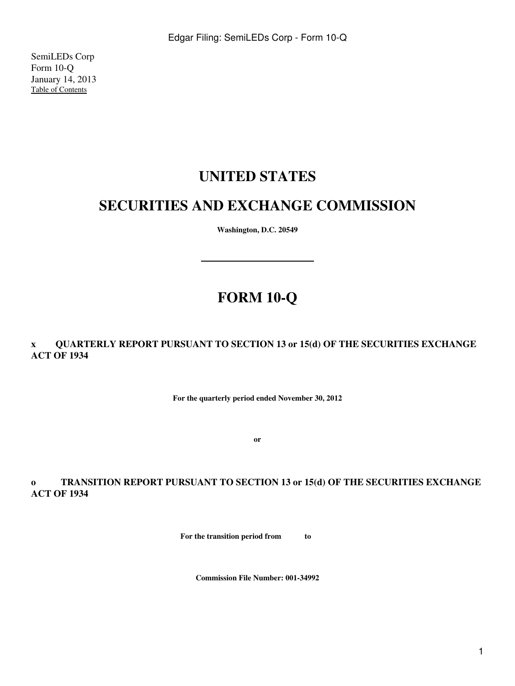SemiLEDs Corp Form 10-Q January 14, 2013 [Table of Contents](#page-2-0)

# **UNITED STATES**

# **SECURITIES AND EXCHANGE COMMISSION**

**Washington, D.C. 20549**

# **FORM 10-Q**

**x QUARTERLY REPORT PURSUANT TO SECTION 13 or 15(d) OF THE SECURITIES EXCHANGE ACT OF 1934**

**For the quarterly period ended November 30, 2012**

**or**

**o TRANSITION REPORT PURSUANT TO SECTION 13 or 15(d) OF THE SECURITIES EXCHANGE ACT OF 1934**

**For the transition period from to** 

**Commission File Number: 001-34992**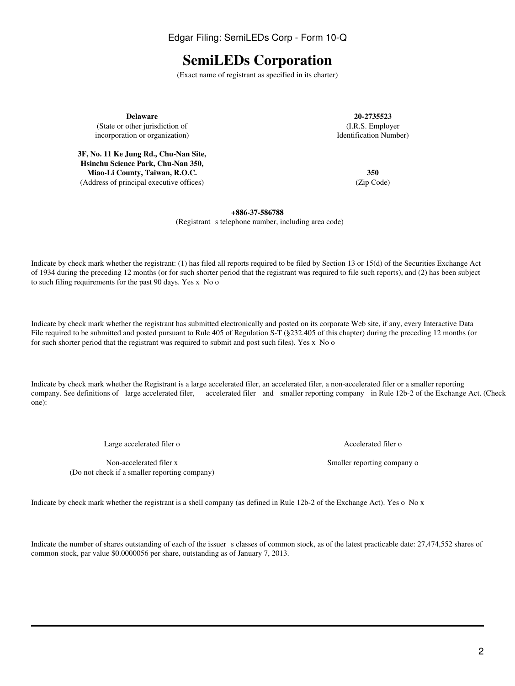2

Edgar Filing: SemiLEDs Corp - Form 10-Q

# **SemiLEDs Corporation**

(Exact name of registrant as specified in its charter)

**Delaware 20-2735523** (State or other jurisdiction of (I.R.S. Employer incorporation or organization) and the state of the state of the Identification Number) incorporation or organization)

**3F, No. 11 Ke Jung Rd., Chu-Nan Site, Hsinchu Science Park, Chu-Nan 350, Miao-Li County, Taiwan, R.O.C. 350** (Address of principal executive offices) (Zip Code)

**+886-37-586788** (Registrant s telephone number, including area code)

Indicate by check mark whether the registrant: (1) has filed all reports required to be filed by Section 13 or 15(d) of the Securities Exchange Act of 1934 during the preceding 12 months (or for such shorter period that the registrant was required to file such reports), and (2) has been subject to such filing requirements for the past 90 days. Yes x No o

Indicate by check mark whether the registrant has submitted electronically and posted on its corporate Web site, if any, every Interactive Data File required to be submitted and posted pursuant to Rule 405 of Regulation S-T (§232.405 of this chapter) during the preceding 12 months (or for such shorter period that the registrant was required to submit and post such files). Yes x No o

Indicate by check mark whether the Registrant is a large accelerated filer, an accelerated filer, a non-accelerated filer or a smaller reporting company. See definitions of large accelerated filer, accelerated filer and smaller reporting company in Rule 12b-2 of the Exchange Act. (Check one):

Large accelerated filer o Accelerated filer o Accelerated filer o

Non-accelerated filer x Smaller reporting company on Smaller reporting company on Smaller reporting company on Smaller reporting company on Smaller reporting company on  $\mathbb{R}^n$ (Do not check if a smaller reporting company)

Indicate by check mark whether the registrant is a shell company (as defined in Rule 12b-2 of the Exchange Act). Yes o No x

Indicate the number of shares outstanding of each of the issuer s classes of common stock, as of the latest practicable date: 27,474,552 shares of common stock, par value \$0.0000056 per share, outstanding as of January 7, 2013.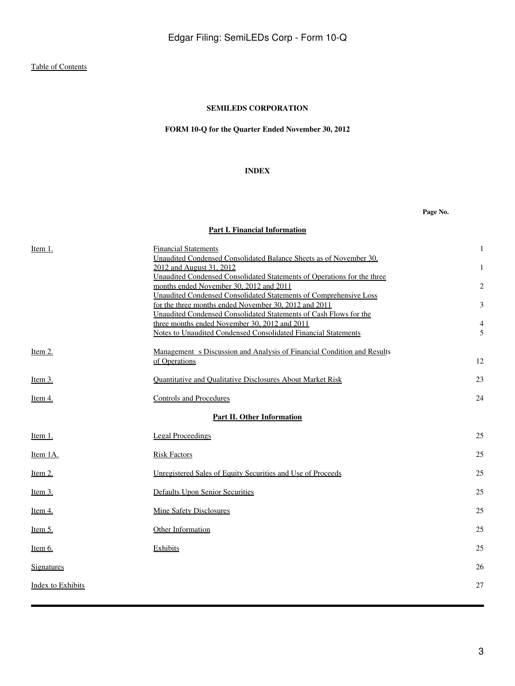# **FORM 10-Q for the Quarter Ended November 30, 2012**

## **INDEX**

**Page No.**

# **[Part I. Financial Information](#page-3-0)**

<span id="page-2-0"></span>

| Item 1.                  | <b>Financial Statements</b>                                                                                        |    |
|--------------------------|--------------------------------------------------------------------------------------------------------------------|----|
|                          | Unaudited Condensed Consolidated Balance Sheets as of November 30.                                                 |    |
|                          | 2012 and August 31, 2012                                                                                           |    |
|                          | Unaudited Condensed Consolidated Statements of Operations for the three<br>months ended November 30, 2012 and 2011 | 2  |
|                          | Unaudited Condensed Consolidated Statements of Comprehensive Loss                                                  |    |
|                          | for the three months ended November 30, 2012 and 2011                                                              | 3  |
|                          | Unaudited Condensed Consolidated Statements of Cash Flows for the                                                  |    |
|                          | three months ended November 30, 2012 and 2011                                                                      |    |
|                          | <b>Notes to Unaudited Condensed Consolidated Financial Statements</b>                                              | 5  |
| Item 2.                  | Management s Discussion and Analysis of Financial Condition and Results                                            |    |
|                          | of Operations                                                                                                      | 12 |
| Item 3.                  | <b>Quantitative and Qualitative Disclosures About Market Risk</b>                                                  | 23 |
| <u>Item 4.</u>           | <b>Controls and Procedures</b>                                                                                     | 24 |
|                          | <b>Part II. Other Information</b>                                                                                  |    |
| Item 1.                  | Legal Proceedings                                                                                                  | 25 |
| Item 1A.                 | <b>Risk Factors</b>                                                                                                | 25 |
| Item $2$ .               | Unregistered Sales of Equity Securities and Use of Proceeds                                                        | 25 |
| Item $3$ .               | <b>Defaults Upon Senior Securities</b>                                                                             | 25 |
| Item 4.                  | <b>Mine Safety Disclosures</b>                                                                                     | 25 |
| <u>Item 5.</u>           | Other Information                                                                                                  | 25 |
| Item 6.                  | Exhibits                                                                                                           | 25 |
| <b>Signatures</b>        |                                                                                                                    | 26 |
| <b>Index to Exhibits</b> |                                                                                                                    | 27 |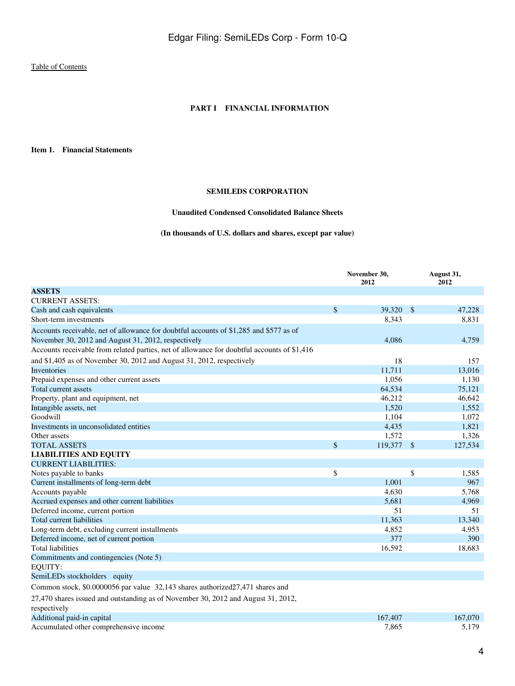#### **PART I FINANCIAL INFORMATION**

<span id="page-3-1"></span><span id="page-3-0"></span>**Item 1. Financial Statements**

## **SEMILEDS CORPORATION**

## **Unaudited Condensed Consolidated Balance Sheets**

## **(In thousands of U.S. dollars and shares, except par value)**

<span id="page-3-2"></span>

|                                                                                                               | November 30,<br>2012 |                         | August 31,<br>2012 |
|---------------------------------------------------------------------------------------------------------------|----------------------|-------------------------|--------------------|
| <b>ASSETS</b>                                                                                                 |                      |                         |                    |
| <b>CURRENT ASSETS:</b>                                                                                        |                      |                         |                    |
| Cash and cash equivalents                                                                                     | \$<br>39,320         | $\sqrt[6]{\frac{1}{2}}$ | 47,228             |
| Short-term investments                                                                                        | 8,343                |                         | 8,831              |
| Accounts receivable, net of allowance for doubtful accounts of \$1,285 and \$577 as of                        |                      |                         |                    |
| November 30, 2012 and August 31, 2012, respectively                                                           | 4.086                |                         | 4,759              |
| Accounts receivable from related parties, net of allowance for doubtful accounts of \$1,416                   |                      |                         |                    |
| and \$1,405 as of November 30, 2012 and August 31, 2012, respectively                                         | 18                   |                         | 157                |
| Inventories                                                                                                   | 11,711               |                         | 13,016             |
| Prepaid expenses and other current assets                                                                     | 1,056                |                         | 1,130              |
| Total current assets                                                                                          | 64,534               |                         | 75,121             |
| Property, plant and equipment, net                                                                            | 46,212               |                         | 46,642             |
| Intangible assets, net                                                                                        | 1,520                |                         | 1,552              |
| Goodwill                                                                                                      | 1,104                |                         | 1,072              |
| Investments in unconsolidated entities                                                                        | 4,435                |                         | 1,821              |
| Other assets                                                                                                  | 1,572                |                         | 1,326              |
| <b>TOTAL ASSETS</b>                                                                                           | \$<br>119,377        | $\mathbf{\hat{s}}$      | 127,534            |
| <b>LIABILITIES AND EQUITY</b>                                                                                 |                      |                         |                    |
| <b>CURRENT LIABILITIES:</b>                                                                                   |                      |                         |                    |
| Notes payable to banks                                                                                        | \$                   | \$                      | 1,585              |
| Current installments of long-term debt                                                                        | 1,001                |                         | 967                |
| Accounts payable                                                                                              | 4,630                |                         | 5,768              |
| Accrued expenses and other current liabilities                                                                | 5,681                |                         | 4,969              |
| Deferred income, current portion                                                                              | 51                   |                         | 51                 |
| Total current liabilities                                                                                     | 11,363               |                         | 13,340             |
| Long-term debt, excluding current installments                                                                | 4,852                |                         | 4,953              |
| Deferred income, net of current portion                                                                       | 377                  |                         | 390                |
| <b>Total liabilities</b>                                                                                      | 16,592               |                         | 18,683             |
| Commitments and contingencies (Note 5)                                                                        |                      |                         |                    |
| <b>EQUITY:</b>                                                                                                |                      |                         |                    |
| SemiLEDs stockholders equity                                                                                  |                      |                         |                    |
| Common stock, \$0.0000056 par value 32,143 shares authorized 27,471 shares and                                |                      |                         |                    |
| 27,470 shares issued and outstanding as of November 30, 2012 and August 31, 2012,<br>respectively             |                      |                         |                    |
| property that the contract of the contract of the contract of the contract of the contract of the contract of | 177.07               |                         | 17700              |

| Additional paid-in capital             | 167<br>$.40-$ | .070<br>167 |
|----------------------------------------|---------------|-------------|
| Accumulated other comprehensive income | .86:          | 170         |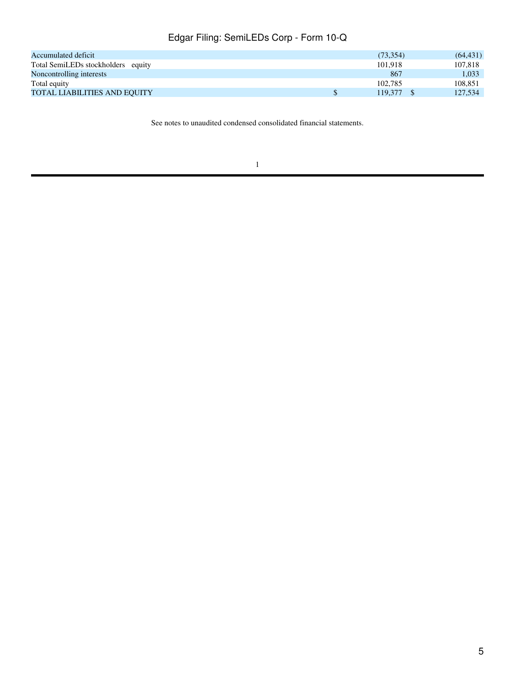| Accumulated deficit                 | (73, 354) | (64, 431) |
|-------------------------------------|-----------|-----------|
| Total SemiLEDs stockholders equity  | 101.918   | 107.818   |
| Noncontrolling interests            | 867       | 1.033     |
| Total equity                        | 102.785   | 108.851   |
| <b>TOTAL LIABILITIES AND EQUITY</b> | 119.377   | 127,534   |

See notes to unaudited condensed consolidated financial statements.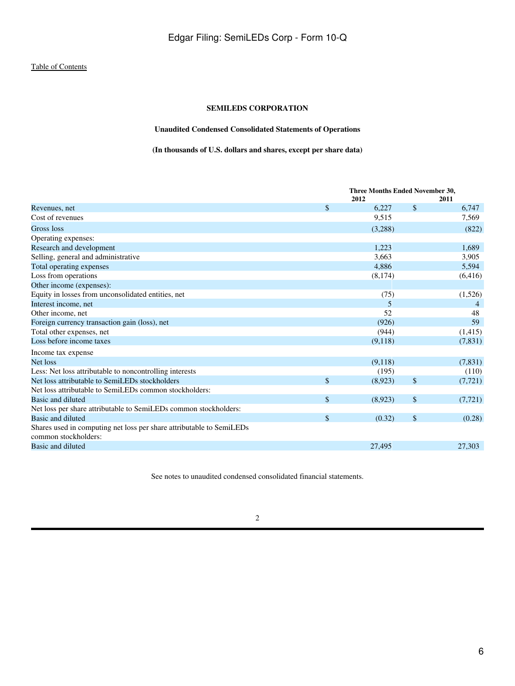# **Unaudited Condensed Consolidated Statements of Operations**

# **(In thousands of U.S. dollars and shares, except per share data)**

<span id="page-5-0"></span>

|                                                                                              | Three Months Ended November 30, |         |                           |          |
|----------------------------------------------------------------------------------------------|---------------------------------|---------|---------------------------|----------|
|                                                                                              |                                 | 2012    |                           | 2011     |
| Revenues, net                                                                                | $\mathbf{\hat{S}}$              | 6,227   | $\mathbb{S}$              | 6,747    |
| Cost of revenues                                                                             |                                 | 9,515   |                           | 7,569    |
| Gross loss                                                                                   |                                 | (3,288) |                           | (822)    |
| Operating expenses:                                                                          |                                 |         |                           |          |
| Research and development                                                                     |                                 | 1,223   |                           | 1,689    |
| Selling, general and administrative                                                          |                                 | 3,663   |                           | 3,905    |
| Total operating expenses                                                                     |                                 | 4,886   |                           | 5,594    |
| Loss from operations                                                                         |                                 | (8,174) |                           | (6, 416) |
| Other income (expenses):                                                                     |                                 |         |                           |          |
| Equity in losses from unconsolidated entities, net                                           |                                 | (75)    |                           | (1,526)  |
| Interest income, net                                                                         |                                 | 5       |                           |          |
| Other income, net                                                                            |                                 | 52      |                           | 48       |
| Foreign currency transaction gain (loss), net                                                |                                 | (926)   |                           | 59       |
| Total other expenses, net                                                                    |                                 | (944)   |                           | (1,415)  |
| Loss before income taxes                                                                     |                                 | (9,118) |                           | (7, 831) |
| Income tax expense                                                                           |                                 |         |                           |          |
| Net loss                                                                                     |                                 | (9,118) |                           | (7,831)  |
| Less: Net loss attributable to noncontrolling interests                                      |                                 | (195)   |                           | (110)    |
| Net loss attributable to SemiLEDs stockholders                                               | $\mathbb{S}$                    | (8,923) | $\boldsymbol{\mathsf{S}}$ | (7, 721) |
| Net loss attributable to SemiLEDs common stockholders:                                       |                                 |         |                           |          |
| Basic and diluted                                                                            | \$                              | (8,923) | \$                        | (7, 721) |
| Net loss per share attributable to SemiLEDs common stockholders:                             |                                 |         |                           |          |
| Basic and diluted                                                                            | \$                              | (0.32)  | \$                        | (0.28)   |
| Shares used in computing net loss per share attributable to SemiLEDs<br>common stockholders: |                                 |         |                           |          |
| Basic and diluted                                                                            |                                 | 27,495  |                           | 27,303   |
|                                                                                              |                                 |         |                           |          |

See notes to unaudited condensed consolidated financial statements.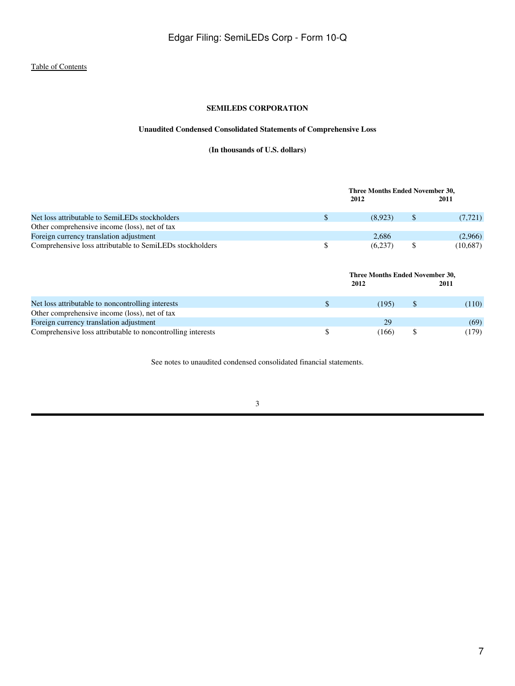# **Unaudited Condensed Consolidated Statements of Comprehensive Loss**

**(In thousands of U.S. dollars)**

<span id="page-6-0"></span>

|                                                             |              | Three Months Ended November 30,<br>2012 |               | 2011     |
|-------------------------------------------------------------|--------------|-----------------------------------------|---------------|----------|
| Net loss attributable to SemiLEDs stockholders              | \$           | (8,923)                                 | <sup>\$</sup> | (7, 721) |
| Other comprehensive income (loss), net of tax               |              |                                         |               |          |
| Foreign currency translation adjustment                     |              | 2,686                                   |               | (2,966)  |
| Comprehensive loss attributable to SemiLEDs stockholders    | \$           | (6,237)                                 | \$            | (10,687) |
|                                                             |              | Three Months Ended November 30,<br>2012 |               | 2011     |
| Net loss attributable to noncontrolling interests           | $\mathbb{S}$ | (195)                                   | \$            | (110)    |
| Other comprehensive income (loss), net of tax               |              |                                         |               |          |
| Foreign currency translation adjustment                     |              | 29                                      |               | (69)     |
| Comprehensive loss attributable to noncontrolling interests | \$           | (166)                                   | \$            | (179)    |

See notes to unaudited condensed consolidated financial statements.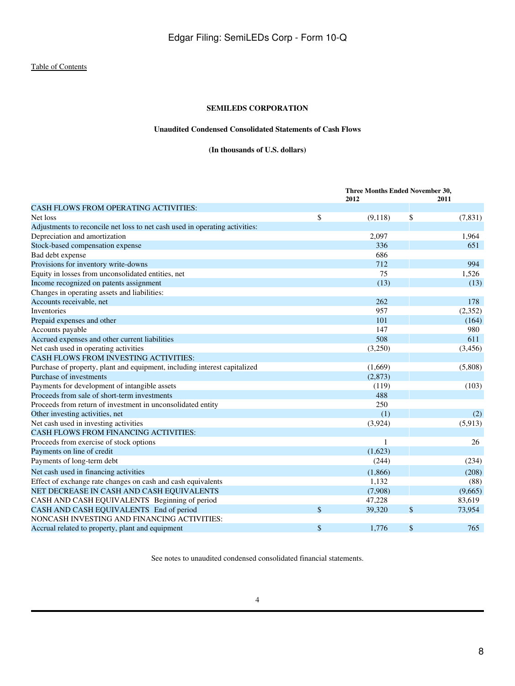## **Unaudited Condensed Consolidated Statements of Cash Flows**

**(In thousands of U.S. dollars)**

<span id="page-7-0"></span>

|                                                                             |               | Three Months Ended November 30, |          |  |
|-----------------------------------------------------------------------------|---------------|---------------------------------|----------|--|
| <b>CASH FLOWS FROM OPERATING ACTIVITIES:</b>                                | 2012          |                                 | 2011     |  |
| Net loss                                                                    | \$<br>(9,118) | \$                              | (7, 831) |  |
| Adjustments to reconcile net loss to net cash used in operating activities: |               |                                 |          |  |
| Depreciation and amortization                                               | 2,097         |                                 | 1,964    |  |
| Stock-based compensation expense                                            | 336           |                                 | 651      |  |
| Bad debt expense                                                            | 686           |                                 |          |  |
| Provisions for inventory write-downs                                        | 712           |                                 | 994      |  |
| Equity in losses from unconsolidated entities, net                          | 75            |                                 | 1.526    |  |
| Income recognized on patents assignment                                     | (13)          |                                 | (13)     |  |
| Changes in operating assets and liabilities:                                |               |                                 |          |  |
| Accounts receivable, net                                                    | 262           |                                 | 178      |  |
| <b>Inventories</b>                                                          | 957           |                                 | (2,352)  |  |
| Prepaid expenses and other                                                  | 101           |                                 | (164)    |  |
| Accounts payable                                                            | 147           |                                 | 980      |  |
| Accrued expenses and other current liabilities                              | 508           |                                 | 611      |  |
| Net cash used in operating activities                                       | (3,250)       |                                 | (3,456)  |  |
| CASH FLOWS FROM INVESTING ACTIVITIES:                                       |               |                                 |          |  |
| Purchase of property, plant and equipment, including interest capitalized   | (1,669)       |                                 | (5,808)  |  |
| Purchase of investments                                                     | (2,873)       |                                 |          |  |
| Payments for development of intangible assets                               | (119)         |                                 | (103)    |  |
| Proceeds from sale of short-term investments                                | 488           |                                 |          |  |
| Proceeds from return of investment in unconsolidated entity                 | 250           |                                 |          |  |
| Other investing activities, net                                             | (1)           |                                 | (2)      |  |
| Net cash used in investing activities                                       | (3,924)       |                                 | (5,913)  |  |
| <b>CASH FLOWS FROM FINANCING ACTIVITIES:</b>                                |               |                                 |          |  |
| Proceeds from exercise of stock options                                     | 1             |                                 | 26       |  |
| Payments on line of credit                                                  | (1,623)       |                                 |          |  |
| Payments of long-term debt                                                  | (244)         |                                 | (234)    |  |
| Net cash used in financing activities                                       | (1,866)       |                                 | (208)    |  |
| Effect of exchange rate changes on cash and cash equivalents                | 1,132         |                                 | (88)     |  |
| NET DECREASE IN CASH AND CASH EQUIVALENTS                                   | (7,908)       |                                 | (9,665)  |  |
| CASH AND CASH EQUIVALENTS Beginning of period                               | 47,228        |                                 | 83,619   |  |
| CASH AND CASH EQUIVALENTS End of period                                     | \$<br>39,320  | \$                              | 73,954   |  |
| NONCASH INVESTING AND FINANCING ACTIVITIES:                                 |               |                                 |          |  |
| Accrual related to property, plant and equipment                            | \$<br>1,776   | \$                              | 765      |  |

See notes to unaudited condensed consolidated financial statements.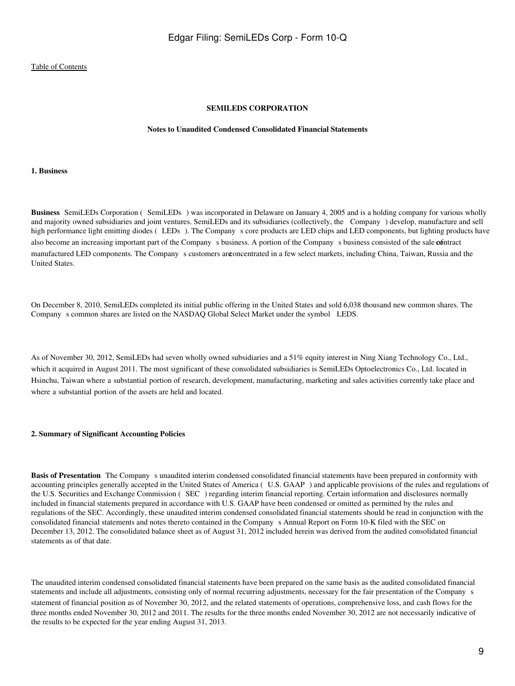#### **SEMILEDS CORPORATION**

#### **Notes to Unaudited Condensed Consolidated Financial Statements**

#### <span id="page-8-0"></span>**1. Business**

**Business** SemiLEDs Corporation (SemiLEDs) was incorporated in Delaware on January 4, 2005 and is a holding company for various wholly and majority owned subsidiaries and joint ventures. SemiLEDs and its subsidiaries (collectively, the Company) develop, manufacture and sell high performance light emitting diodes (LEDs). The Company s core products are LED chips and LED components, but lighting products have also become an increasing important part of the Company s business. A portion of the Company s business consisted of the sale **co**ntract manufactured LED components. The Company s customers are oncentrated in a few select markets, including China, Taiwan, Russia and the United States.

On December 8, 2010, SemiLEDs completed its initial public offering in the United States and sold 6,038 thousand new common shares. The Company s common shares are listed on the NASDAQ Global Select Market under the symbol LEDS.

As of November 30, 2012, SemiLEDs had seven wholly owned subsidiaries and a 51% equity interest in Ning Xiang Technology Co., Ltd., which it acquired in August 2011. The most significant of these consolidated subsidiaries is SemiLEDs Optoelectronics Co., Ltd. located in Hsinchu, Taiwan where a substantial portion of research, development, manufacturing, marketing and sales activities currently take place and where a substantial portion of the assets are held and located.

#### **2. Summary of Significant Accounting Policies**

**Basis of Presentation** The Company s unaudited interim condensed consolidated financial statements have been prepared in conformity with accounting principles generally accepted in the United States of America (U.S. GAAP) and applicable provisions of the rules and regulations of the U.S. Securities and Exchange Commission (SEC) regarding interim financial reporting. Certain information and disclosures normally included in financial statements prepared in accordance with U.S. GAAP have been condensed or omitted as permitted by the rules and regulations of the SEC. Accordingly, these unaudited interim condensed consolidated financial statements should be read in conjunction with the consolidated financial statements and notes thereto contained in the Companys Annual Report on Form 10-K filed with the SEC on December 13, 2012. The consolidated balance sheet as of August 31, 2012 included herein was derived from the audited consolidated financial statements as of that date.

The unaudited interim condensed consolidated financial statements have been prepared on the same basis as the audited consolidated financial statements and include all adjustments, consisting only of normal recurring adjustments, necessary for the fair presentation of the Companys statement of financial position as of November 30, 2012, and the related statements of operations, comprehensive loss, and cash flows for the three months ended November 30, 2012 and 2011. The results for the three months ended November 30, 2012 are not necessarily indicative of the results to be expected for the year ending August 31, 2013.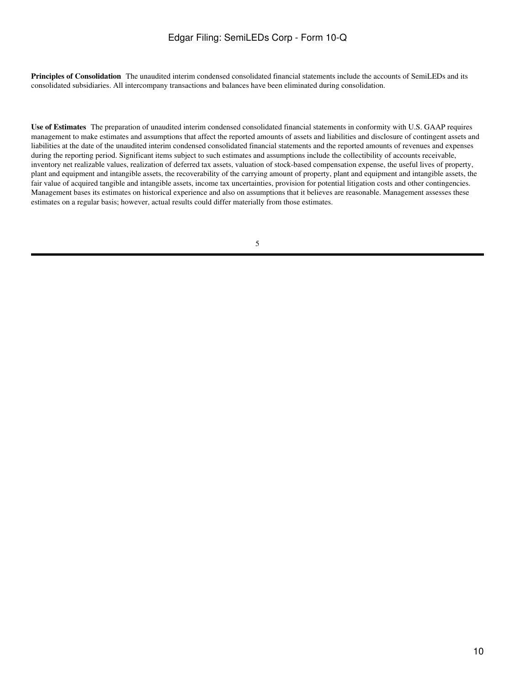Principles of Consolidation The unaudited interim condensed consolidated financial statements include the accounts of SemiLEDs and its consolidated subsidiaries. All intercompany transactions and balances have been eliminated during consolidation.

**Use of Estimates**The preparation of unaudited interim condensed consolidated financial statements in conformity with U.S. GAAP requires management to make estimates and assumptions that affect the reported amounts of assets and liabilities and disclosure of contingent assets and liabilities at the date of the unaudited interim condensed consolidated financial statements and the reported amounts of revenues and expenses during the reporting period. Significant items subject to such estimates and assumptions include the collectibility of accounts receivable, inventory net realizable values, realization of deferred tax assets, valuation of stock-based compensation expense, the useful lives of property, plant and equipment and intangible assets, the recoverability of the carrying amount of property, plant and equipment and intangible assets, the fair value of acquired tangible and intangible assets, income tax uncertainties, provision for potential litigation costs and other contingencies. Management bases its estimates on historical experience and also on assumptions that it believes are reasonable. Management assesses these estimates on a regular basis; however, actual results could differ materially from those estimates.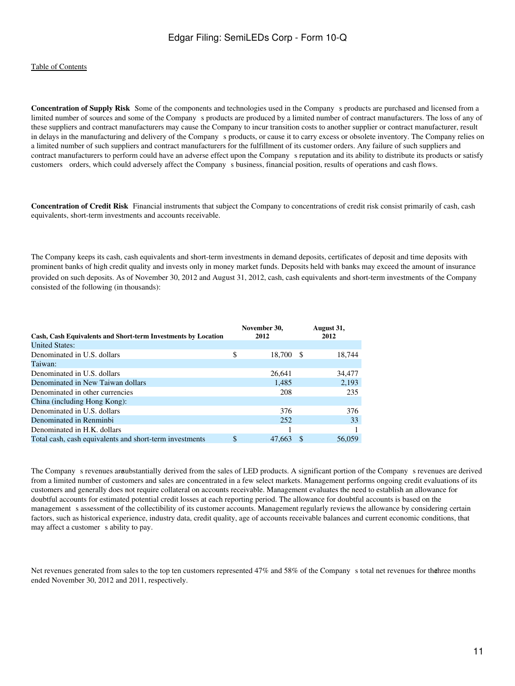**Concentration of Supply Risk** Some of the components and technologies used in the Company s products are purchased and licensed from a limited number of sources and some of the Company s products are produced by a limited number of contract manufacturers. The loss of any of these suppliers and contract manufacturers may cause the Company to incur transition costs to another supplier or contract manufacturer, result in delays in the manufacturing and delivery of the Company s products, or cause it to carry excess or obsolete inventory. The Company relies on a limited number of such suppliers and contract manufacturers for the fulfillment of its customer orders. Any failure of such suppliers and contract manufacturers to perform could have an adverse effect upon the Companys reputation and its ability to distribute its products or satisfy customers orders, which could adversely affect the Companys business, financial position, results of operations and cash flows.

**Concentration of Credit Risk** Financial instruments that subject the Company to concentrations of credit risk consist primarily of cash, cash equivalents, short-term investments and accounts receivable.

The Company keeps its cash, cash equivalents and short-term investments in demand deposits, certificates of deposit and time deposits with prominent banks of high credit quality and invests only in money market funds. Deposits held with banks may exceed the amount of insurance provided on such deposits. As of November 30, 2012 and August 31, 2012, cash, cash equivalents and short-term investments of the Company consisted of the following (in thousands):

|                                                               |    | November 30, | August 31, |
|---------------------------------------------------------------|----|--------------|------------|
| Cash, Cash Equivalents and Short-term Investments by Location |    | 2012         | 2012       |
| <b>United States:</b>                                         |    |              |            |
| Denominated in U.S. dollars                                   | \$ | 18,700 \$    | 18,744     |
| Taiwan:                                                       |    |              |            |
| Denominated in U.S. dollars                                   |    | 26,641       | 34,477     |
| Denominated in New Taiwan dollars                             |    | 1.485        | 2,193      |
| Denominated in other currencies                               |    | 208          | 235        |
| China (including Hong Kong):                                  |    |              |            |
| Denominated in U.S. dollars                                   |    | 376          | 376        |
| Denominated in Renminbi                                       |    | 252          | 33         |
| Denominated in H.K. dollars                                   |    |              |            |
| Total cash, cash equivalents and short-term investments       | \$ | 47,663       | 56,059     |

The Company s revenues are ubstantially derived from the sales of LED products. A significant portion of the Company s revenues are derived from a limited number of customers and sales are concentrated in a few select markets. Management performs ongoing credit evaluations of its customers and generally does not require collateral on accounts receivable. Management evaluates the need to establish an allowance for doubtful accounts for estimated potential credit losses at each reporting period. The allowance for doubtful accounts is based on the management s assessment of the collectibility of its customer accounts. Management regularly reviews the allowance by considering certain factors, such as historical experience, industry data, credit quality, age of accounts receivable balances and current economic conditions, that may affect a customer s ability to pay.

Net revenues generated from sales to the top ten customers represented 47% and 58% of the Company s total net revenues for the months ended November 30, 2012 and 2011, respectively.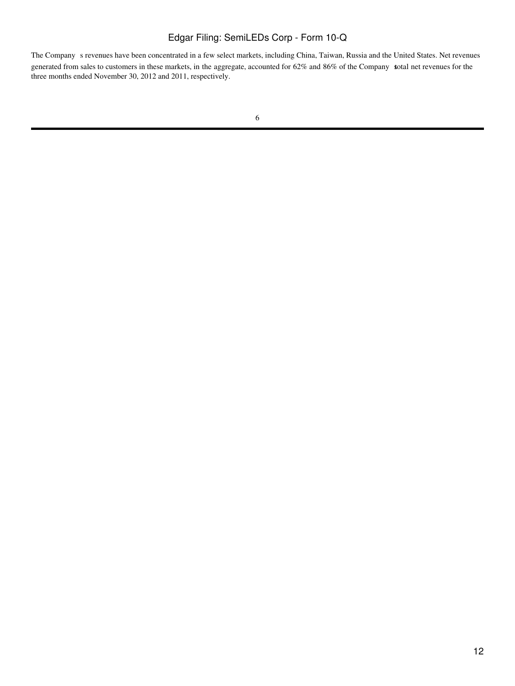The Company s revenues have been concentrated in a few select markets, including China, Taiwan, Russia and the United States. Net revenues generated from sales to customers in these markets, in the aggregate, accounted for 62% and 86% of the Company sotal net revenues for the three months ended November 30, 2012 and 2011, respectively.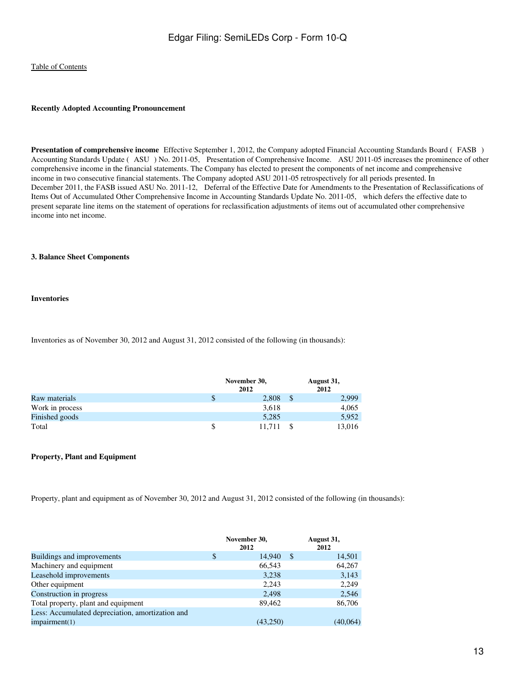#### **Recently Adopted Accounting Pronouncement**

**Presentation of comprehensive income** Effective September 1, 2012, the Company adopted Financial Accounting Standards Board (FASB) Accounting Standards Update (ASU) No. 2011-05, Presentation of Comprehensive Income. ASU 2011-05 increases the prominence of other comprehensive income in the financial statements. The Company has elected to present the components of net income and comprehensive income in two consecutive financial statements. The Company adopted ASU 2011-05 retrospectively for all periods presented. In December 2011, the FASB issued ASU No. 2011-12, Deferral of the Effective Date for Amendments to the Presentation of Reclassifications of Items Out of Accumulated Other Comprehensive Income in Accounting Standards Update No. 2011-05, which defers the effective date to present separate line items on the statement of operations for reclassification adjustments of items out of accumulated other comprehensive income into net income.

#### **3. Balance Sheet Components**

#### **Inventories**

Inventories as of November 30, 2012 and August 31, 2012 consisted of the following (in thousands):

|                 |   | November 30,<br>2012 | August 31,<br>2012 |  |  |
|-----------------|---|----------------------|--------------------|--|--|
| Raw materials   | S | 2,808                | 2,999              |  |  |
| Work in process |   | 3,618                | 4,065              |  |  |
| Finished goods  |   | 5,285                | 5,952              |  |  |
| Total           |   | 11.711               | 13,016             |  |  |

#### **Property, Plant and Equipment**

Property, plant and equipment as of November 30, 2012 and August 31, 2012 consisted of the following (in thousands):

|                                                  | November 30,<br>2012 |    | August 31,<br>2012 |
|--------------------------------------------------|----------------------|----|--------------------|
| Buildings and improvements                       | \$<br>14,940         | -S | 14,501             |
| Machinery and equipment                          | 66,543               |    | 64,267             |
| Leasehold improvements                           | 3,238                |    | 3,143              |
| Other equipment                                  | 2,243                |    | 2,249              |
| Construction in progress                         | 2,498                |    | 2,546              |
| Total property, plant and equipment              | 89,462               |    | 86,706             |
| Less: Accumulated depreciation, amortization and |                      |    |                    |
| impairment(1)                                    | (43,250)             |    | (40,064)           |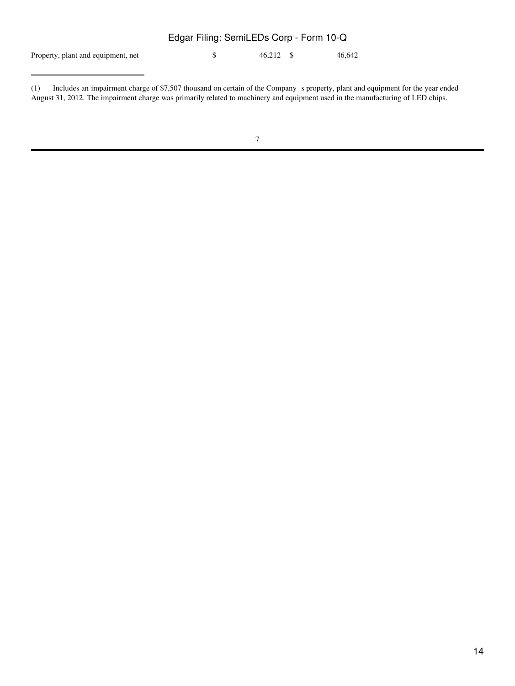# Property, plant and equipment, net  $$ 46,212 \text{ $8} 46,642$ Edgar Filing: SemiLEDs Corp - Form 10-Q

<sup>(1)</sup> Includes an impairment charge of \$7,507 thousand on certain of the Companys property, plant and equipment for the year ended August 31, 2012. The impairment charge was primarily related to machinery and equipment used in the manufacturing of LED chips.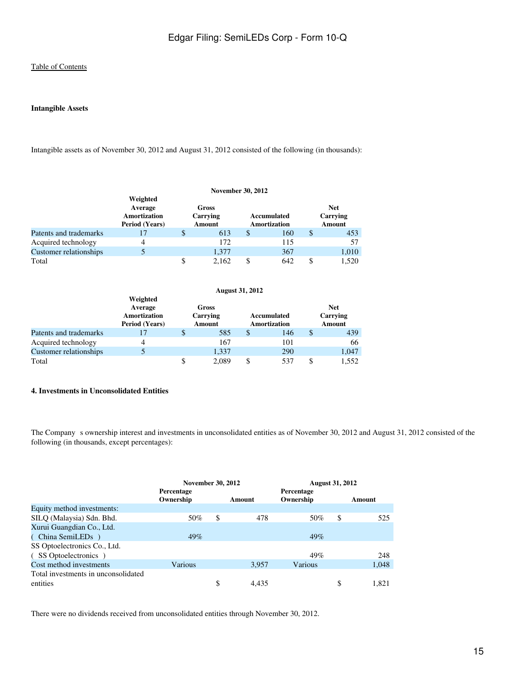## **Intangible Assets**

Intangible assets as of November 30, 2012 and August 31, 2012 consisted of the following (in thousands):

|                        | <b>November 30, 2012</b>                                            |                                    |       |                                    |     |   |                                  |  |
|------------------------|---------------------------------------------------------------------|------------------------------------|-------|------------------------------------|-----|---|----------------------------------|--|
|                        | Weighted<br>Average<br><b>Amortization</b><br><b>Period</b> (Years) | Gross<br>Carrying<br><b>Amount</b> |       | Accumulated<br><b>Amortization</b> |     |   | <b>Net</b><br>Carrying<br>Amount |  |
| Patents and trademarks | 17                                                                  | \$                                 | 613   | S                                  | 160 | S | 453                              |  |
| Acquired technology    | 4                                                                   |                                    | 172   |                                    | 115 |   | 57                               |  |
| Customer relationships |                                                                     |                                    | 1,377 |                                    | 367 |   | 1,010                            |  |
| Total                  |                                                                     | \$                                 | 2.162 |                                    | 642 |   | 1.520                            |  |

|                        | <b>August 31, 2012</b>                                              |                             |       |                                    |     |                                         |       |  |
|------------------------|---------------------------------------------------------------------|-----------------------------|-------|------------------------------------|-----|-----------------------------------------|-------|--|
|                        | Weighted<br>Average<br><b>Amortization</b><br><b>Period</b> (Years) | Gross<br>Carrying<br>Amount |       | Accumulated<br><b>Amortization</b> |     | <b>Net</b><br>Carrying<br><b>Amount</b> |       |  |
| Patents and trademarks | 17                                                                  | \$                          | 585   | \$                                 | 146 | S                                       | 439   |  |
| Acquired technology    | 4                                                                   |                             | 167   |                                    | 101 |                                         | 66    |  |
| Customer relationships |                                                                     |                             | 1.337 |                                    | 290 |                                         | 1,047 |  |
| Total                  |                                                                     | \$                          | 2.089 |                                    | 537 |                                         | 1.552 |  |

#### **4. Investments in Unconsolidated Entities**

The Company s ownership interest and investments in unconsolidated entities as of November 30, 2012 and August 31, 2012 consisted of the following (in thousands, except percentages):

|                                     | <b>November 30, 2012</b> |    | <b>August 31, 2012</b> |                         |    |        |
|-------------------------------------|--------------------------|----|------------------------|-------------------------|----|--------|
|                                     | Percentage<br>Ownership  |    | Amount                 | Percentage<br>Ownership |    | Amount |
| Equity method investments:          |                          |    |                        |                         |    |        |
| SILQ (Malaysia) Sdn. Bhd.           | 50%                      | \$ | 478                    | 50%                     | \$ | 525    |
| Xurui Guangdian Co., Ltd.           |                          |    |                        |                         |    |        |
| (China SemiLED <sub>s</sub> )       | 49%                      |    |                        | 49%                     |    |        |
| SS Optoelectronics Co., Ltd.        |                          |    |                        |                         |    |        |
| (SS Optoelectronics)                |                          |    |                        | 49%                     |    | 248    |
| Cost method investments             | Various                  |    | 3.957                  | Various                 |    | 1,048  |
| Total investments in unconsolidated |                          |    |                        |                         |    |        |
| entities                            |                          | \$ | 4.435                  |                         | \$ | 1.821  |

There were no dividends received from unconsolidated entities through November 30, 2012.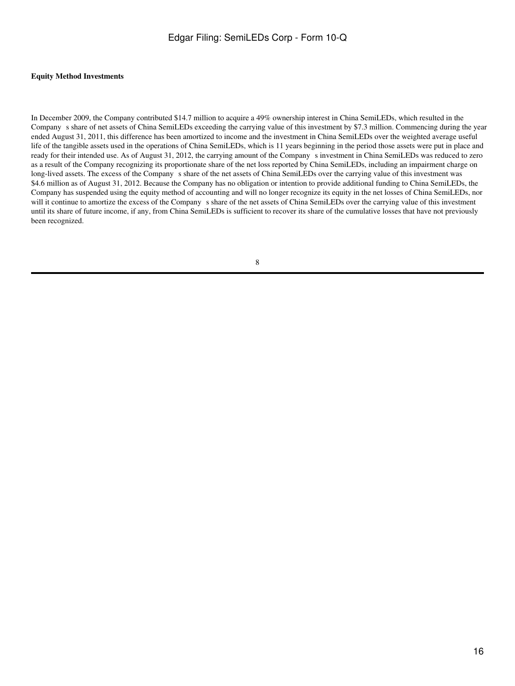#### **Equity Method Investments**

In December 2009, the Company contributed \$14.7 million to acquire a 49% ownership interest in China SemiLEDs, which resulted in the Companys share of net assets of China SemiLEDs exceeding the carrying value of this investment by \$7.3 million. Commencing during the year ended August 31, 2011, this difference has been amortized to income and the investment in China SemiLEDs over the weighted average useful life of the tangible assets used in the operations of China SemiLEDs, which is 11 years beginning in the period those assets were put in place and ready for their intended use. As of August 31, 2012, the carrying amount of the Companys investment in China SemiLEDs was reduced to zero as a result of the Company recognizing its proportionate share of the net loss reported by China SemiLEDs, including an impairment charge on long-lived assets. The excess of the Company s share of the net assets of China SemiLEDs over the carrying value of this investment was \$4.6 million as of August 31, 2012. Because the Company has no obligation or intention to provide additional funding to China SemiLEDs, the Company has suspended using the equity method of accounting and will no longer recognize its equity in the net losses of China SemiLEDs, nor will it continue to amortize the excess of the Company s share of the net assets of China SemiLEDs over the carrying value of this investment until its share of future income, if any, from China SemiLEDs is sufficient to recover its share of the cumulative losses that have not previously been recognized.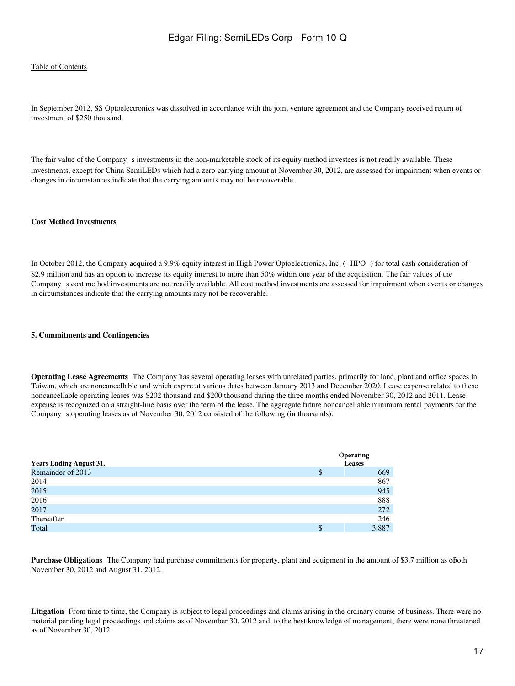#### [Table of Contents](#page-2-0)

In September 2012, SS Optoelectronics was dissolved in accordance with the joint venture agreement and the Company received return of investment of \$250 thousand.

The fair value of the Company s investments in the non-marketable stock of its equity method investees is not readily available. These investments, except for China SemiLEDs which had a zero carrying amount at November 30, 2012, are assessed for impairment when events or changes in circumstances indicate that the carrying amounts may not be recoverable.

#### **Cost Method Investments**

In October 2012, the Company acquired a 9.9% equity interest in High Power Optoelectronics, Inc. (HPO) for total cash consideration of \$2.9 million and has an option to increase its equity interest to more than 50% within one year of the acquisition. The fair values of the Companys cost method investments are not readily available. All cost method investments are assessed for impairment when events or changes in circumstances indicate that the carrying amounts may not be recoverable.

#### **5. Commitments and Contingencies**

**Operating Lease Agreements** The Company has several operating leases with unrelated parties, primarily for land, plant and office spaces in Taiwan, which are noncancellable and which expire at various dates between January 2013 and December 2020. Lease expense related to these noncancellable operating leases was \$202 thousand and \$200 thousand during the three months ended November 30, 2012 and 2011. Lease expense is recognized on a straight-line basis over the term of the lease. The aggregate future noncancellable minimum rental payments for the Company s operating leases as of November 30, 2012 consisted of the following (in thousands):

| <b>Years Ending August 31,</b> | <b>Operating</b><br><b>Leases</b> |
|--------------------------------|-----------------------------------|
| Remainder of 2013              | \$<br>669                         |
| 2014                           | 867                               |
| 2015                           | 945                               |
| 2016                           | 888                               |
| 2017                           | 272                               |
| Thereafter                     | 246                               |
| Total                          | \$<br>3,887                       |

**Purchase Obligations** The Company had purchase commitments for property, plant and equipment in the amount of \$3.7 million as of oth November 30, 2012 and August 31, 2012.

Litigation From time to time, the Company is subject to legal proceedings and claims arising in the ordinary course of business. There were no material pending legal proceedings and claims as of November 30, 2012 and, to the best knowledge of management, there were none threatened as of November 30, 2012.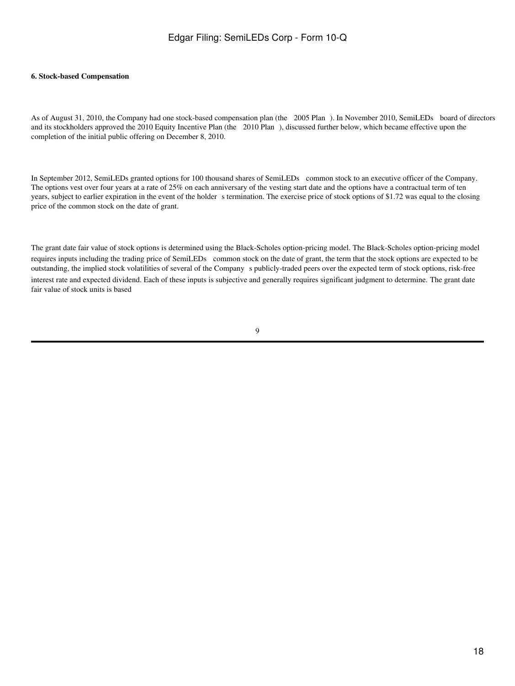#### **6. Stock-based Compensation**

As of August 31, 2010, the Company had one stock-based compensation plan (the 2005 Plan). In November 2010, SemiLEDs board of directors and its stockholders approved the 2010 Equity Incentive Plan (the 2010 Plan), discussed further below, which became effective upon the completion of the initial public offering on December 8, 2010.

In September 2012, SemiLEDs granted options for 100 thousand shares of SemiLEDs common stock to an executive officer of the Company. The options vest over four years at a rate of 25% on each anniversary of the vesting start date and the options have a contractual term of ten years, subject to earlier expiration in the event of the holder s termination. The exercise price of stock options of \$1.72 was equal to the closing price of the common stock on the date of grant.

The grant date fair value of stock options is determined using the Black-Scholes option-pricing model. The Black-Scholes option-pricing model requires inputs including the trading price of SemiLEDs common stock on the date of grant, the term that the stock options are expected to be outstanding, the implied stock volatilities of several of the Companys publicly-traded peers over the expected term of stock options, risk-free interest rate and expected dividend. Each of these inputs is subjective and generally requires significant judgment to determine. The grant date fair value of stock units is based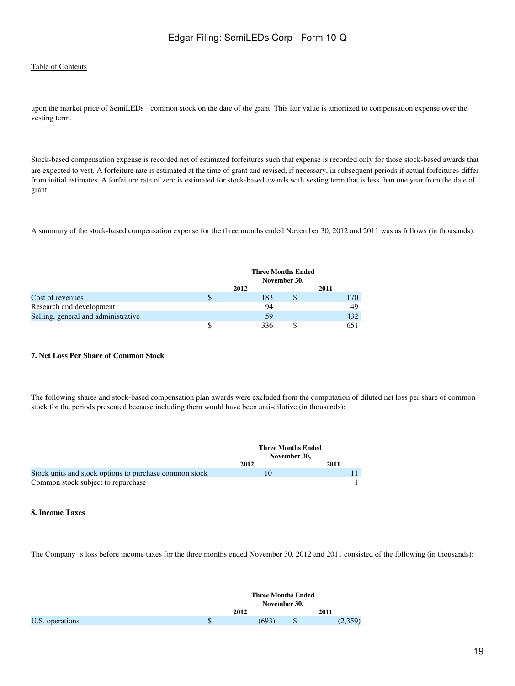## [Table of Contents](#page-2-0)

upon the market price of SemiLEDs common stock on the date of the grant. This fair value is amortized to compensation expense over the vesting term.

Stock-based compensation expense is recorded net of estimated forfeitures such that expense is recorded only for those stock-based awards that are expected to vest. A forfeiture rate is estimated at the time of grant and revised, if necessary, in subsequent periods if actual forfeitures differ from initial estimates. A forfeiture rate of zero is estimated for stock-based awards with vesting term that is less than one year from the date of grant.

A summary of the stock-based compensation expense for the three months ended November 30, 2012 and 2011 was as follows (in thousands):

|                                     |   | <b>Three Months Ended</b><br>November 30, |   |      |
|-------------------------------------|---|-------------------------------------------|---|------|
|                                     |   | 2012                                      |   | 2011 |
| Cost of revenues                    | S | 183                                       | S | 170  |
| Research and development            |   | 94                                        |   | 49   |
| Selling, general and administrative |   | 59                                        |   | 432  |
|                                     |   | 336                                       |   |      |

#### **7. Net Loss Per Share of Common Stock**

The following shares and stock-based compensation plan awards were excluded from the computation of diluted net loss per share of common stock for the periods presented because including them would have been anti-dilutive (in thousands):

|                                                        |      | <b>Three Months Ended</b><br>November 30. |
|--------------------------------------------------------|------|-------------------------------------------|
|                                                        | 2012 | 2011                                      |
| Stock units and stock options to purchase common stock |      |                                           |
| Common stock subject to repurchase                     |      |                                           |

#### **8. Income Taxes**

The Company s loss before income taxes for the three months ended November 30, 2012 and 2011 consisted of the following (in thousands):

|                 | <b>Three Months Ended</b><br>November 30, |         |
|-----------------|-------------------------------------------|---------|
|                 | 2012                                      | 2011    |
| U.S. operations | \$<br>(693)                               | (2,359) |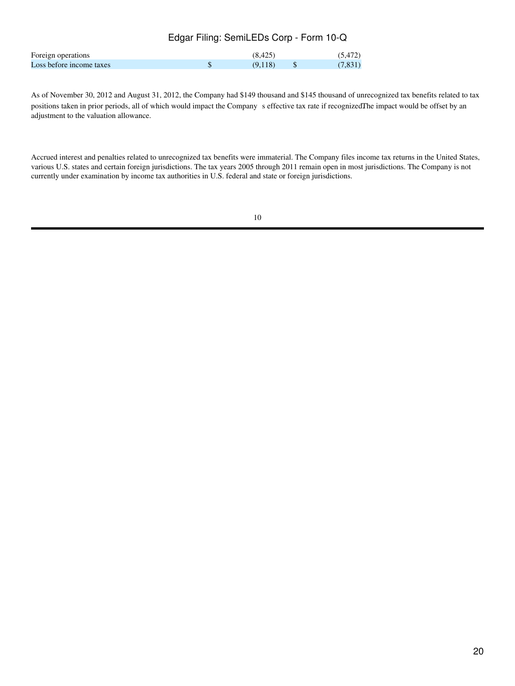|                          | Edgar Filing: SemiLEDs Corp - Form 10-Q |         |         |
|--------------------------|-----------------------------------------|---------|---------|
| Foreign operations       |                                         | (8.425) | (5.472) |
| Loss before income taxes |                                         | (9.118) | (7,831) |

As of November 30, 2012 and August 31, 2012, the Company had \$149 thousand and \$145 thousand of unrecognized tax benefits related to tax positions taken in prior periods, all of which would impact the Company s effective tax rate if recognizedThe impact would be offset by an adjustment to the valuation allowance.

Accrued interest and penalties related to unrecognized tax benefits were immaterial. The Company files income tax returns in the United States, various U.S. states and certain foreign jurisdictions. The tax years 2005 through 2011 remain open in most jurisdictions. The Company is not currently under examination by income tax authorities in U.S. federal and state or foreign jurisdictions.

<sup>10</sup>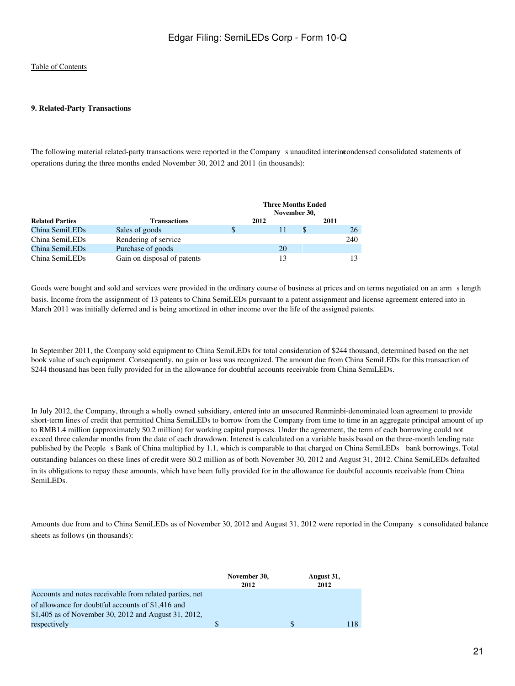#### **9. Related-Party Transactions**

The following material related-party transactions were reported in the Company sunaudited interimcondensed consolidated statements of operations during the three months ended November 30, 2012 and 2011 (in thousands):

|                        |                             | <b>Three Months Ended</b><br>November 30, |      |      |     |
|------------------------|-----------------------------|-------------------------------------------|------|------|-----|
| <b>Related Parties</b> | <b>Transactions</b>         |                                           | 2012 | 2011 |     |
| China SemiLEDs         | Sales of goods              | <sup>\$</sup>                             |      |      | 26  |
| China SemiLEDs         | Rendering of service        |                                           |      |      | 240 |
| China SemiLEDs         | Purchase of goods           |                                           | 20   |      |     |
| China SemiLEDs         | Gain on disposal of patents |                                           |      |      |     |

Goods were bought and sold and services were provided in the ordinary course of business at prices and on terms negotiated on an arms length basis. Income from the assignment of 13 patents to China SemiLEDs pursuant to a patent assignment and license agreement entered into in March 2011 was initially deferred and is being amortized in other income over the life of the assigned patents.

In September 2011, the Company sold equipment to China SemiLEDs for total consideration of \$244 thousand, determined based on the net book value of such equipment. Consequently, no gain or loss was recognized. The amount due from China SemiLEDs for this transaction of \$244 thousand has been fully provided for in the allowance for doubtful accounts receivable from China SemiLEDs.

In July 2012, the Company, through a wholly owned subsidiary, entered into an unsecured Renminbi-denominated loan agreement to provide short-term lines of credit that permitted China SemiLEDs to borrow from the Company from time to time in an aggregate principal amount of up to RMB1.4 million (approximately \$0.2 million) for working capital purposes. Under the agreement, the term of each borrowing could not exceed three calendar months from the date of each drawdown. Interest is calculated on a variable basis based on the three-month lending rate published by the People s Bank of China multiplied by 1.1, which is comparable to that charged on China SemiLEDs bank borrowings. Total outstanding balances on these lines of credit were \$0.2 million as of both November 30, 2012 and August 31, 2012. China SemiLEDs defaulted in its obligations to repay these amounts, which have been fully provided for in the allowance for doubtful accounts receivable from China SemiLEDs.

Amounts due from and to China SemiLEDs as of November 30, 2012 and August 31, 2012 were reported in the Companys consolidated balance sheets as follows (in thousands):

|                                                         | November 30,<br>2012 | August 31,<br>2012 |
|---------------------------------------------------------|----------------------|--------------------|
| Accounts and notes receivable from related parties, net |                      |                    |
| of allowance for doubtful accounts of \$1,416 and       |                      |                    |
| \$1,405 as of November 30, 2012 and August 31, 2012,    |                      |                    |
| respectively                                            | S                    |                    |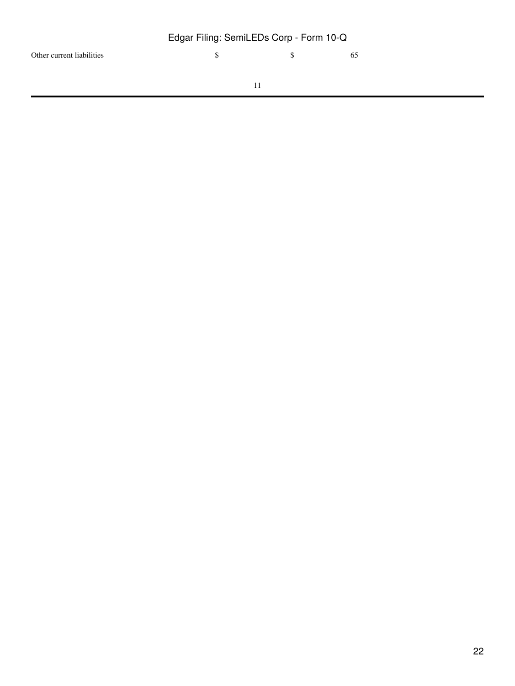Other current liabilities \$ 5 65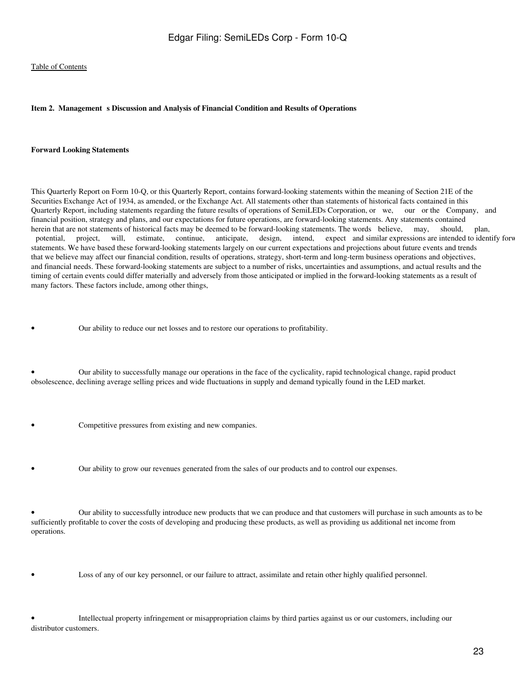#### <span id="page-22-0"></span>Item 2. Management s Discussion and Analysis of Financial Condition and Results of Operations

#### **Forward Looking Statements**

This Quarterly Report on Form 10-Q, or this Quarterly Report, contains forward-looking statements within the meaning of Section 21E of the Securities Exchange Act of 1934, as amended, or the Exchange Act. All statements other than statements of historical facts contained in this Quarterly Report, including statements regarding the future results of operations of SemiLEDs Corporation, or we, our or the Company, and financial position, strategy and plans, and our expectations for future operations, are forward-looking statements. Any statements contained herein that are not statements of historical facts may be deemed to be forward-looking statements. The words believe, may, should, plan, potential, project, will, estimate, continue, anticipate, design, intend, expect and similar expressions are intended to identify forw statements. We have based these forward-looking statements largely on our current expectations and projections about future events and trends that we believe may affect our financial condition, results of operations, strategy, short-term and long-term business operations and objectives, and financial needs. These forward-looking statements are subject to a number of risks, uncertainties and assumptions, and actual results and the timing of certain events could differ materially and adversely from those anticipated or implied in the forward-looking statements as a result of many factors. These factors include, among other things,

• Our ability to reduce our net losses and to restore our operations to profitability.

• Our ability to successfully manage our operations in the face of the cyclicality, rapid technological change, rapid product obsolescence, declining average selling prices and wide fluctuations in supply and demand typically found in the LED market.

- Competitive pressures from existing and new companies.
- Our ability to grow our revenues generated from the sales of our products and to control our expenses.

• Our ability to successfully introduce new products that we can produce and that customers will purchase in such amounts as to be sufficiently profitable to cover the costs of developing and producing these products, as well as providing us additional net income from operations.

Loss of any of our key personnel, or our failure to attract, assimilate and retain other highly qualified personnel.

• Intellectual property infringement or misappropriation claims by third parties against us or our customers, including our distributor customers.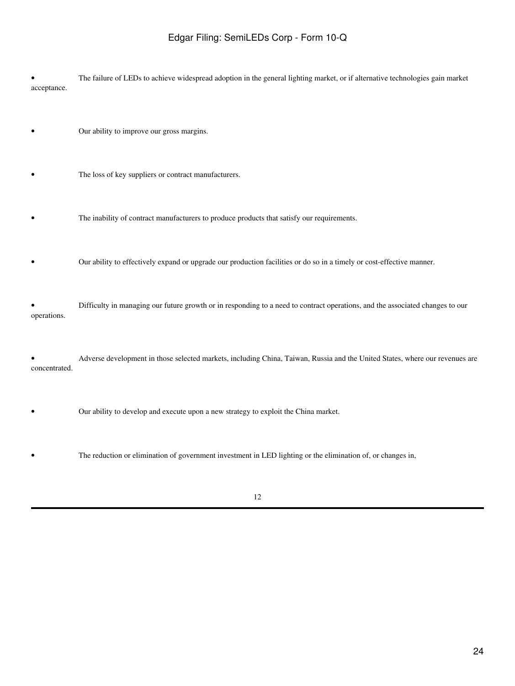• The failure of LEDs to achieve widespread adoption in the general lighting market, or if alternative technologies gain market acceptance.

- Our ability to improve our gross margins.
- The loss of key suppliers or contract manufacturers.
- The inability of contract manufacturers to produce products that satisfy our requirements.
- Our ability to effectively expand or upgrade our production facilities or do so in a timely or cost-effective manner.

• Difficulty in managing our future growth or in responding to a need to contract operations, and the associated changes to our operations.

• Adverse development in those selected markets, including China, Taiwan, Russia and the United States, where our revenues are concentrated.

- Our ability to develop and execute upon a new strategy to exploit the China market.
- The reduction or elimination of government investment in LED lighting or the elimination of, or changes in,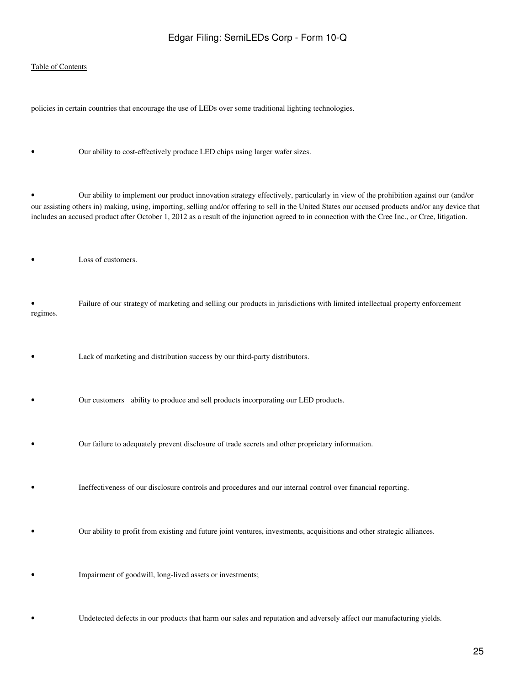#### [Table of Contents](#page-2-0)

policies in certain countries that encourage the use of LEDs over some traditional lighting technologies.

Our ability to cost-effectively produce LED chips using larger wafer sizes.

• Our ability to implement our product innovation strategy effectively, particularly in view of the prohibition against our (and/or our assisting others in) making, using, importing, selling and/or offering to sell in the United States our accused products and/or any device that includes an accused product after October 1, 2012 as a result of the injunction agreed to in connection with the Cree Inc., or Cree, litigation.

Loss of customers.

• Failure of our strategy of marketing and selling our products in jurisdictions with limited intellectual property enforcement regimes.

- Lack of marketing and distribution success by our third-party distributors.
- Our customers ability to produce and sell products incorporating our LED products.
- Our failure to adequately prevent disclosure of trade secrets and other proprietary information.
- Ineffectiveness of our disclosure controls and procedures and our internal control over financial reporting.
- Our ability to profit from existing and future joint ventures, investments, acquisitions and other strategic alliances.
- Impairment of goodwill, long-lived assets or investments;
- Undetected defects in our products that harm our sales and reputation and adversely affect our manufacturing yields.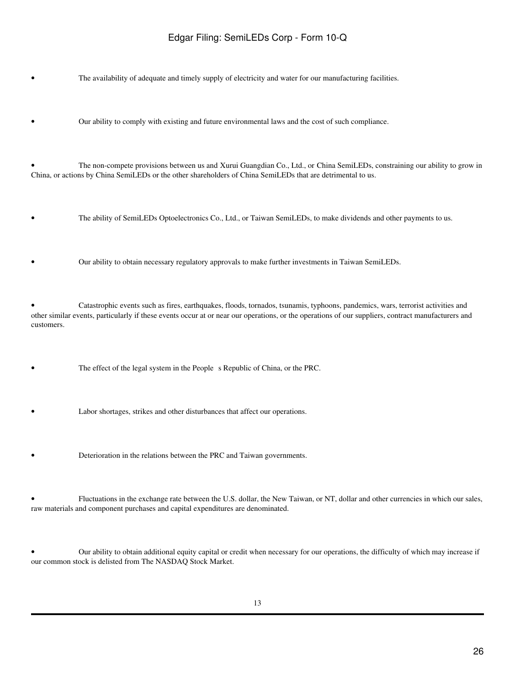The availability of adequate and timely supply of electricity and water for our manufacturing facilities.

• Our ability to comply with existing and future environmental laws and the cost of such compliance.

• The non-compete provisions between us and Xurui Guangdian Co., Ltd., or China SemiLEDs, constraining our ability to grow in China, or actions by China SemiLEDs or the other shareholders of China SemiLEDs that are detrimental to us.

• The ability of SemiLEDs Optoelectronics Co., Ltd., or Taiwan SemiLEDs, to make dividends and other payments to us.

• Our ability to obtain necessary regulatory approvals to make further investments in Taiwan SemiLEDs.

• Catastrophic events such as fires, earthquakes, floods, tornados, tsunamis, typhoons, pandemics, wars, terrorist activities and other similar events, particularly if these events occur at or near our operations, or the operations of our suppliers, contract manufacturers and customers.

The effect of the legal system in the People s Republic of China, or the PRC.

Labor shortages, strikes and other disturbances that affect our operations.

• Deterioration in the relations between the PRC and Taiwan governments.

• Fluctuations in the exchange rate between the U.S. dollar, the New Taiwan, or NT, dollar and other currencies in which our sales, raw materials and component purchases and capital expenditures are denominated.

• Our ability to obtain additional equity capital or credit when necessary for our operations, the difficulty of which may increase if our common stock is delisted from The NASDAQ Stock Market.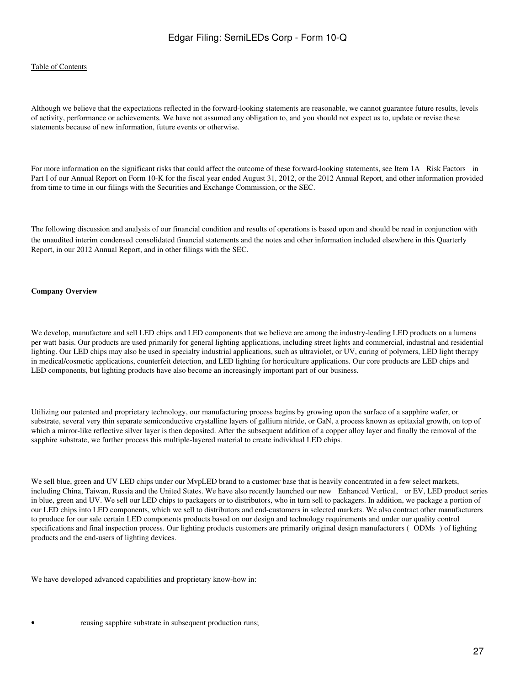#### [Table of Contents](#page-2-0)

Although we believe that the expectations reflected in the forward-looking statements are reasonable, we cannot guarantee future results, levels of activity, performance or achievements. We have not assumed any obligation to, and you should not expect us to, update or revise these statements because of new information, future events or otherwise.

For more information on the significant risks that could affect the outcome of these forward-looking statements, see Item 1A Risk Factors in Part I of our Annual Report on Form 10-K for the fiscal year ended August 31, 2012, or the 2012 Annual Report, and other information provided from time to time in our filings with the Securities and Exchange Commission, or the SEC.

The following discussion and analysis of our financial condition and results of operations is based upon and should be read in conjunction with the unaudited interim condensed consolidated financial statements and the notes and other information included elsewhere in this Quarterly Report, in our 2012 Annual Report, and in other filings with the SEC.

#### **Company Overview**

We develop, manufacture and sell LED chips and LED components that we believe are among the industry-leading LED products on a lumens per watt basis. Our products are used primarily for general lighting applications, including street lights and commercial, industrial and residential lighting. Our LED chips may also be used in specialty industrial applications, such as ultraviolet, or UV, curing of polymers, LED light therapy in medical/cosmetic applications, counterfeit detection, and LED lighting for horticulture applications. Our core products are LED chips and LED components, but lighting products have also become an increasingly important part of our business.

Utilizing our patented and proprietary technology, our manufacturing process begins by growing upon the surface of a sapphire wafer, or substrate, several very thin separate semiconductive crystalline layers of gallium nitride, or GaN, a process known as epitaxial growth, on top of which a mirror-like reflective silver layer is then deposited. After the subsequent addition of a copper alloy layer and finally the removal of the sapphire substrate, we further process this multiple-layered material to create individual LED chips.

We sell blue, green and UV LED chips under our MypLED brand to a customer base that is heavily concentrated in a few select markets, including China, Taiwan, Russia and the United States. We have also recently launched our new Enhanced Vertical, or EV, LED product series in blue, green and UV. We sell our LED chips to packagers or to distributors, who in turn sell to packagers. In addition, we package a portion of our LED chips into LED components, which we sell to distributors and end-customers in selected markets. We also contract other manufacturers to produce for our sale certain LED components products based on our design and technology requirements and under our quality control specifications and final inspection process. Our lighting products customers are primarily original design manufacturers (ODMs) of lighting products and the end-users of lighting devices.

We have developed advanced capabilities and proprietary know-how in: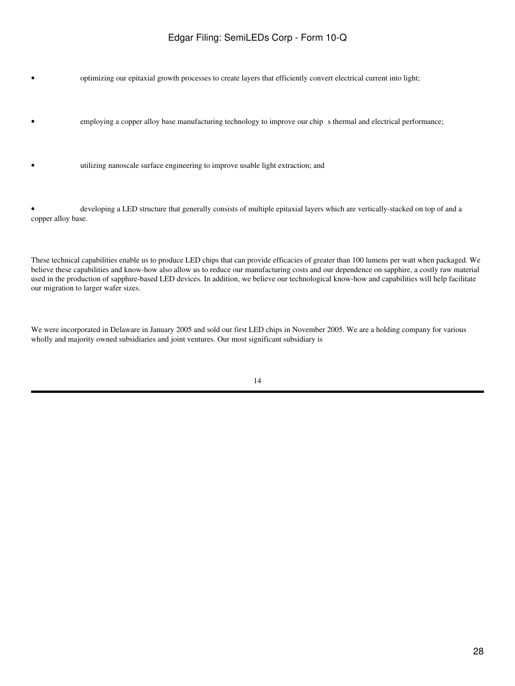• optimizing our epitaxial growth processes to create layers that efficiently convert electrical current into light;

- employing a copper alloy base manufacturing technology to improve our chip s thermal and electrical performance;
- utilizing nanoscale surface engineering to improve usable light extraction; and

• developing a LED structure that generally consists of multiple epitaxial layers which are vertically-stacked on top of and a copper alloy base.

These technical capabilities enable us to produce LED chips that can provide efficacies of greater than 100 lumens per watt when packaged. We believe these capabilities and know-how also allow us to reduce our manufacturing costs and our dependence on sapphire, a costly raw material used in the production of sapphire-based LED devices. In addition, we believe our technological know-how and capabilities will help facilitate our migration to larger wafer sizes.

We were incorporated in Delaware in January 2005 and sold our first LED chips in November 2005. We are a holding company for various wholly and majority owned subsidiaries and joint ventures. Our most significant subsidiary is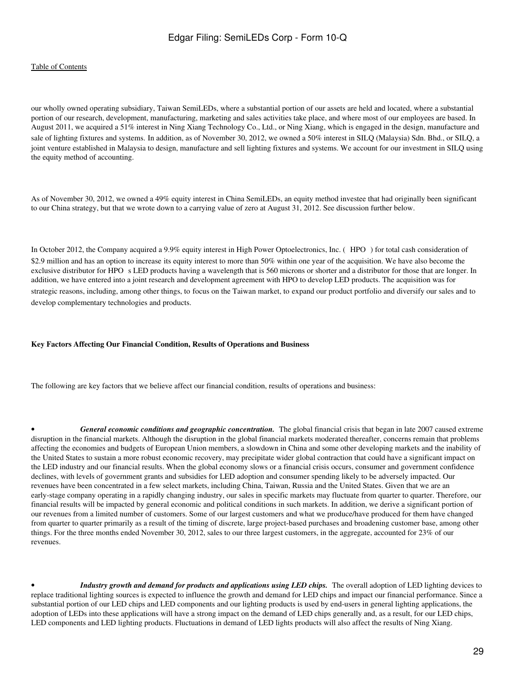#### [Table of Contents](#page-2-0)

our wholly owned operating subsidiary, Taiwan SemiLEDs, where a substantial portion of our assets are held and located, where a substantial portion of our research, development, manufacturing, marketing and sales activities take place, and where most of our employees are based. In August 2011, we acquired a 51% interest in Ning Xiang Technology Co., Ltd., or Ning Xiang, which is engaged in the design, manufacture and sale of lighting fixtures and systems. In addition, as of November 30, 2012, we owned a 50% interest in SILQ (Malaysia) Sdn. Bhd., or SILQ, a joint venture established in Malaysia to design, manufacture and sell lighting fixtures and systems. We account for our investment in SILQ using the equity method of accounting.

As of November 30, 2012, we owned a 49% equity interest in China SemiLEDs, an equity method investee that had originally been significant to our China strategy, but that we wrote down to a carrying value of zero at August 31, 2012. See discussion further below.

In October 2012, the Company acquired a 9.9% equity interest in High Power Optoelectronics, Inc. (HPO) for total cash consideration of \$2.9 million and has an option to increase its equity interest to more than 50% within one year of the acquisition. We have also become the exclusive distributor for HPO s LED products having a wavelength that is 560 microns or shorter and a distributor for those that are longer. In addition, we have entered into a joint research and development agreement with HPO to develop LED products. The acquisition was for strategic reasons, including, among other things, to focus on the Taiwan market, to expand our product portfolio and diversify our sales and to develop complementary technologies and products.

#### **Key Factors Affecting Our Financial Condition, Results of Operations and Business**

The following are key factors that we believe affect our financial condition, results of operations and business:

General economic conditions and geographic concentration. The global financial crisis that began in late 2007 caused extreme disruption in the financial markets. Although the disruption in the global financial markets moderated thereafter, concerns remain that problems affecting the economies and budgets of European Union members, a slowdown in China and some other developing markets and the inability of the United States to sustain a more robust economic recovery, may precipitate wider global contraction that could have a significant impact on the LED industry and our financial results. When the global economy slows or a financial crisis occurs, consumer and government confidence declines, with levels of government grants and subsidies for LED adoption and consumer spending likely to be adversely impacted. Our revenues have been concentrated in a few select markets, including China, Taiwan, Russia and the United States. Given that we are an early-stage company operating in a rapidly changing industry, our sales in specific markets may fluctuate from quarter to quarter. Therefore, our financial results will be impacted by general economic and political conditions in such markets. In addition, we derive a significant portion of our revenues from a limited number of customers. Some of our largest customers and what we produce/have produced for them have changed from quarter to quarter primarily as a result of the timing of discrete, large project-based purchases and broadening customer base, among other things. For the three months ended November 30, 2012, sales to our three largest customers, in the aggregate, accounted for 23% of our revenues.

Industry growth and demand for products and applications using LED chips. The overall adoption of LED lighting devices to replace traditional lighting sources is expected to influence the growth and demand for LED chips and impact our financial performance. Since a substantial portion of our LED chips and LED components and our lighting products is used by end-users in general lighting applications, the adoption of LEDs into these applications will have a strong impact on the demand of LED chips generally and, as a result, for our LED chips, LED components and LED lighting products. Fluctuations in demand of LED lights products will also affect the results of Ning Xiang.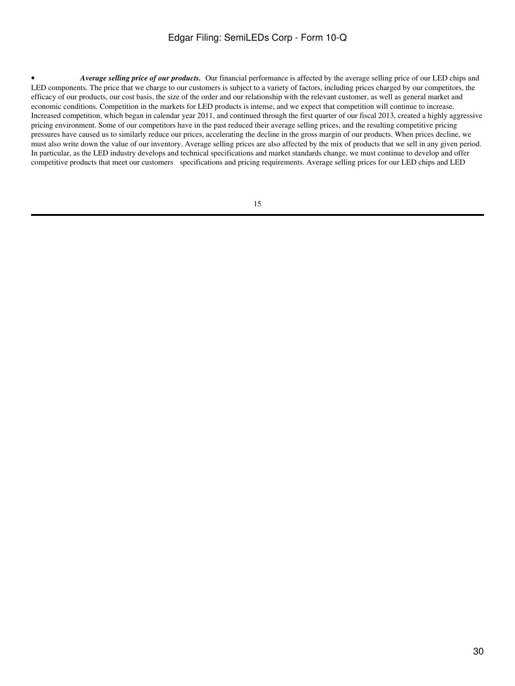• *Average selling price of our products.* Our financial performance is affected by the average selling price of our LED chips and LED components. The price that we charge to our customers is subject to a variety of factors, including prices charged by our competitors, the efficacy of our products, our cost basis, the size of the order and our relationship with the relevant customer, as well as general market and economic conditions. Competition in the markets for LED products is intense, and we expect that competition will continue to increase. Increased competition, which began in calendar year 2011, and continued through the first quarter of our fiscal 2013, created a highly aggressive pricing environment. Some of our competitors have in the past reduced their average selling prices, and the resulting competitive pricing pressures have caused us to similarly reduce our prices, accelerating the decline in the gross margin of our products. When prices decline, we must also write down the value of our inventory. Average selling prices are also affected by the mix of products that we sell in any given period. In particular, as the LED industry develops and technical specifications and market standards change, we must continue to develop and offer competitive products that meet our customers specifications and pricing requirements. Average selling prices for our LED chips and LED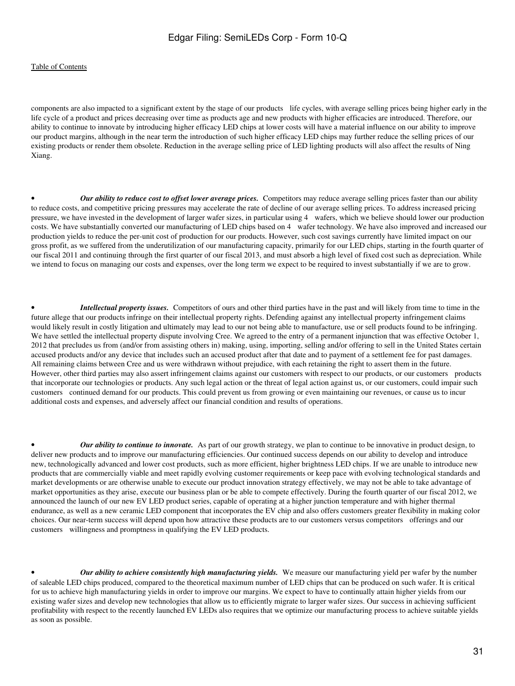#### [Table of Contents](#page-2-0)

components are also impacted to a significant extent by the stage of our products life cycles, with average selling prices being higher early in the life cycle of a product and prices decreasing over time as products age and new products with higher efficacies are introduced. Therefore, our ability to continue to innovate by introducing higher efficacy LED chips at lower costs will have a material influence on our ability to improve our product margins, although in the near term the introduction of such higher efficacy LED chips may further reduce the selling prices of our existing products or render them obsolete. Reduction in the average selling price of LED lighting products will also affect the results of Ning Xiang.

• *Our ability to reduce cost to offset lower average prices.* Competitors may reduce average selling prices faster than our ability to reduce costs, and competitive pricing pressures may accelerate the rate of decline of our average selling prices. To address increased pricing pressure, we have invested in the development of larger wafer sizes, in particular using 4 wafers, which we believe should lower our production costs. We have substantially converted our manufacturing of LED chips based on 4 wafer technology. We have also improved and increased our production yields to reduce the per-unit cost of production for our products. However, such cost savings currently have limited impact on our gross profit, as we suffered from the underutilization of our manufacturing capacity, primarily for our LED chips, starting in the fourth quarter of our fiscal 2011 and continuing through the first quarter of our fiscal 2013, and must absorb a high level of fixed cost such as depreciation. While we intend to focus on managing our costs and expenses, over the long term we expect to be required to invest substantially if we are to grow.

• *Intellectual property issues.* Competitors of ours and other third parties have in the past and will likely from time to time in the future allege that our products infringe on their intellectual property rights. Defending against any intellectual property infringement claims would likely result in costly litigation and ultimately may lead to our not being able to manufacture, use or sell products found to be infringing. We have settled the intellectual property dispute involving Cree. We agreed to the entry of a permanent injunction that was effective October 1, 2012 that precludes us from (and/or from assisting others in) making, using, importing, selling and/or offering to sell in the United States certain accused products and/or any device that includes such an accused product after that date and to payment of a settlement fee for past damages. All remaining claims between Cree and us were withdrawn without prejudice, with each retaining the right to assert them in the future. However, other third parties may also assert infringement claims against our customers with respect to our products, or our customers products that incorporate our technologies or products. Any such legal action or the threat of legal action against us, or our customers, could impair such customers continued demand for our products. This could prevent us from growing or even maintaining our revenues, or cause us to incur additional costs and expenses, and adversely affect our financial condition and results of operations.

• *Our ability to continue to innovate.* As part of our growth strategy, we plan to continue to be innovative in product design, to deliver new products and to improve our manufacturing efficiencies. Our continued success depends on our ability to develop and introduce new, technologically advanced and lower cost products, such as more efficient, higher brightness LED chips. If we are unable to introduce new products that are commercially viable and meet rapidly evolving customer requirements or keep pace with evolving technological standards and market developments or are otherwise unable to execute our product innovation strategy effectively, we may not be able to take advantage of market opportunities as they arise, execute our business plan or be able to compete effectively. During the fourth quarter of our fiscal 2012, we announced the launch of our new EV LED product series, capable of operating at a higher junction temperature and with higher thermal endurance, as well as a new ceramic LED component that incorporates the EV chip and also offers customers greater flexibility in making color choices. Our near-term success will depend upon how attractive these products are to our customers versus competitors offerings and our customers willingness and promptness in qualifying the EV LED products.

• *Our ability to achieve consistently high manufacturing yields.* We measure our manufacturing yield per wafer by the number of saleable LED chips produced, compared to the theoretical maximum number of LED chips that can be produced on such wafer. It is critical for us to achieve high manufacturing yields in order to improve our margins. We expect to have to continually attain higher yields from our existing wafer sizes and develop new technologies that allow us to efficiently migrate to larger wafer sizes. Our success in achieving sufficient profitability with respect to the recently launched EV LEDs also requires that we optimize our manufacturing process to achieve suitable yields as soon as possible.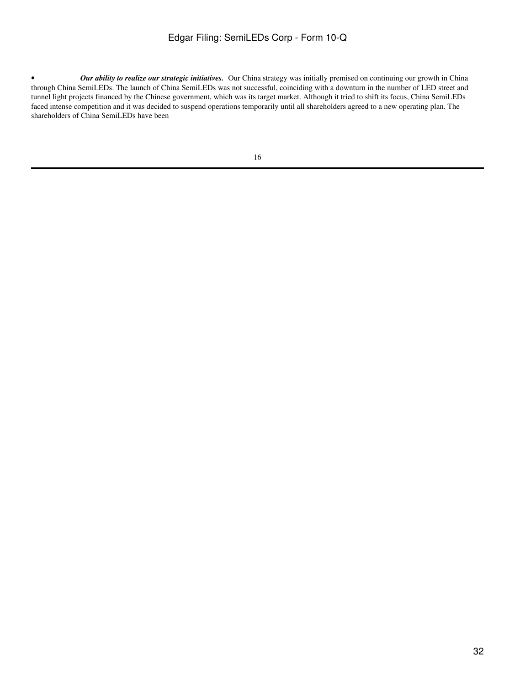• *Our ability to realize our strategic initiatives.* Our China strategy was initially premised on continuing our growth in China through China SemiLEDs. The launch of China SemiLEDs was not successful, coinciding with a downturn in the number of LED street and tunnel light projects financed by the Chinese government, which was its target market. Although it tried to shift its focus, China SemiLEDs faced intense competition and it was decided to suspend operations temporarily until all shareholders agreed to a new operating plan. The shareholders of China SemiLEDs have been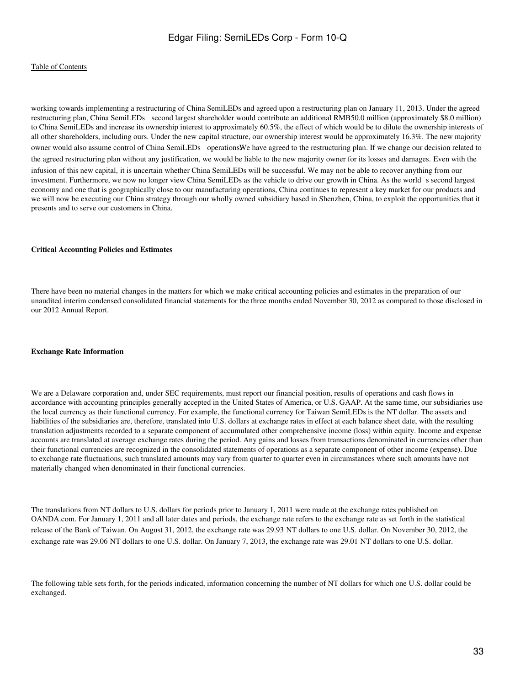working towards implementing a restructuring of China SemiLEDs and agreed upon a restructuring plan on January 11, 2013. Under the agreed restructuring plan, China SemiLEDs second largest shareholder would contribute an additional RMB50.0 million (approximately \$8.0 million) to China SemiLEDs and increase its ownership interest to approximately 60.5%, the effect of which would be to dilute the ownership interests of all other shareholders, including ours. Under the new capital structure, our ownership interest would be approximately 16.3%. The new majority owner would also assume control of China SemiLEDs operations.We have agreed to the restructuring plan. If we change our decision related to the agreed restructuring plan without any justification, we would be liable to the new majority owner for its losses and damages. Even with the infusion of this new capital, it is uncertain whether China SemiLEDs will be successful. We may not be able to recover anything from our investment. Furthermore, we now no longer view China SemiLEDs as the vehicle to drive our growth in China. As the world s second largest economy and one that is geographically close to our manufacturing operations, China continues to represent a key market for our products and we will now be executing our China strategy through our wholly owned subsidiary based in Shenzhen, China, to exploit the opportunities that it presents and to serve our customers in China.

#### **Critical Accounting Policies and Estimates**

There have been no material changes in the matters for which we make critical accounting policies and estimates in the preparation of our unaudited interim condensed consolidated financial statements for the three months ended November 30, 2012 as compared to those disclosed in our 2012 Annual Report.

#### **Exchange Rate Information**

We are a Delaware corporation and, under SEC requirements, must report our financial position, results of operations and cash flows in accordance with accounting principles generally accepted in the United States of America, or U.S. GAAP. At the same time, our subsidiaries use the local currency as their functional currency. For example, the functional currency for Taiwan SemiLEDs is the NT dollar. The assets and liabilities of the subsidiaries are, therefore, translated into U.S. dollars at exchange rates in effect at each balance sheet date, with the resulting translation adjustments recorded to a separate component of accumulated other comprehensive income (loss) within equity. Income and expense accounts are translated at average exchange rates during the period. Any gains and losses from transactions denominated in currencies other than their functional currencies are recognized in the consolidated statements of operations as a separate component of other income (expense). Due to exchange rate fluctuations, such translated amounts may vary from quarter to quarter even in circumstances where such amounts have not materially changed when denominated in their functional currencies.

The translations from NT dollars to U.S. dollars for periods prior to January 1, 2011 were made at the exchange rates published on OANDA.com. For January 1, 2011 and all later dates and periods, the exchange rate refers to the exchange rate as set forth in the statistical release of the Bank of Taiwan. On August 31, 2012, the exchange rate was 29.93 NT dollars to one U.S. dollar. On November 30, 2012, the exchange rate was 29.06 NT dollars to one U.S. dollar. On January 7, 2013, the exchange rate was 29.01 NT dollars to one U.S. dollar.

The following table sets forth, for the periods indicated, information concerning the number of NT dollars for which one U.S. dollar could be exchanged.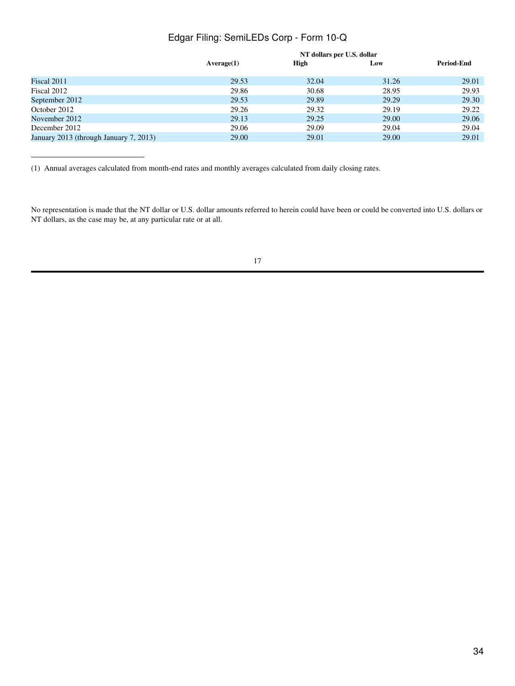|                                        | NT dollars per U.S. dollar |       |       |                   |
|----------------------------------------|----------------------------|-------|-------|-------------------|
|                                        | Average(1)                 | High  | Low   | <b>Period-End</b> |
| Fiscal 2011                            | 29.53                      | 32.04 | 31.26 | 29.01             |
| Fiscal 2012                            | 29.86                      | 30.68 | 28.95 | 29.93             |
| September 2012                         | 29.53                      | 29.89 | 29.29 | 29.30             |
| October 2012                           | 29.26                      | 29.32 | 29.19 | 29.22             |
| November 2012                          | 29.13                      | 29.25 | 29.00 | 29.06             |
| December 2012                          | 29.06                      | 29.09 | 29.04 | 29.04             |
| January 2013 (through January 7, 2013) | 29.00                      | 29.01 | 29.00 | 29.01             |
|                                        |                            |       |       |                   |

(1) Annual averages calculated from month-end rates and monthly averages calculated from daily closing rates.

No representation is made that the NT dollar or U.S. dollar amounts referred to herein could have been or could be converted into U.S. dollars or NT dollars, as the case may be, at any particular rate or at all.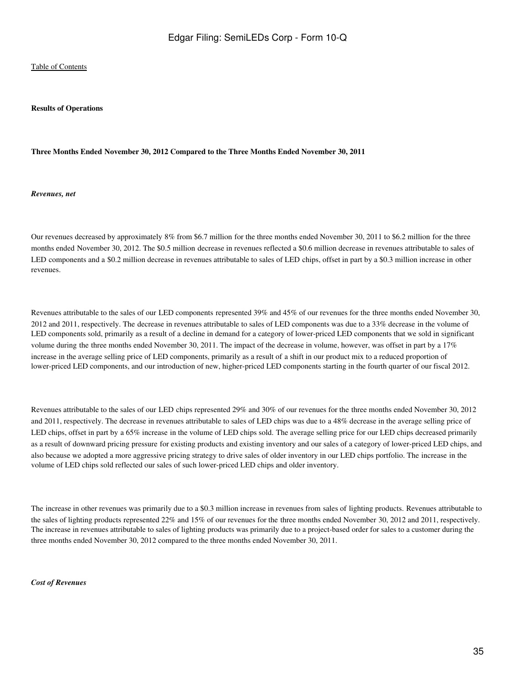#### **Results of Operations**

#### **Three Months Ended November 30, 2012 Compared to the Three Months Ended November 30, 2011**

*Revenues, net*

Our revenues decreased by approximately 8% from \$6.7 million for the three months ended November 30, 2011 to \$6.2 million for the three months ended November 30, 2012. The \$0.5 million decrease in revenues reflected a \$0.6 million decrease in revenues attributable to sales of LED components and a \$0.2 million decrease in revenues attributable to sales of LED chips, offset in part by a \$0.3 million increase in other revenues.

Revenues attributable to the sales of our LED components represented 39% and 45% of our revenues for the three months ended November 30, 2012 and 2011, respectively. The decrease in revenues attributable to sales of LED components was due to a 33% decrease in the volume of LED components sold, primarily as a result of a decline in demand for a category of lower-priced LED components that we sold in significant volume during the three months ended November 30, 2011. The impact of the decrease in volume, however, was offset in part by a 17% increase in the average selling price of LED components, primarily as a result of a shift in our product mix to a reduced proportion of lower-priced LED components, and our introduction of new, higher-priced LED components starting in the fourth quarter of our fiscal 2012.

Revenues attributable to the sales of our LED chips represented 29% and 30% of our revenues for the three months ended November 30, 2012 and 2011, respectively. The decrease in revenues attributable to sales of LED chips was due to a 48% decrease in the average selling price of LED chips, offset in part by a 65% increase in the volume of LED chips sold. The average selling price for our LED chips decreased primarily as a result of downward pricing pressure for existing products and existing inventory and our sales of a category of lower-priced LED chips, and also because we adopted a more aggressive pricing strategy to drive sales of older inventory in our LED chips portfolio. The increase in the volume of LED chips sold reflected our sales of such lower-priced LED chips and older inventory.

The increase in other revenues was primarily due to a \$0.3 million increase in revenues from sales of lighting products. Revenues attributable to the sales of lighting products represented 22% and 15% of our revenues for the three months ended November 30, 2012 and 2011, respectively. The increase in revenues attributable to sales of lighting products was primarily due to a project-based order for sales to a customer during the three months ended November 30, 2012 compared to the three months ended November 30, 2011.

*Cost of Revenues*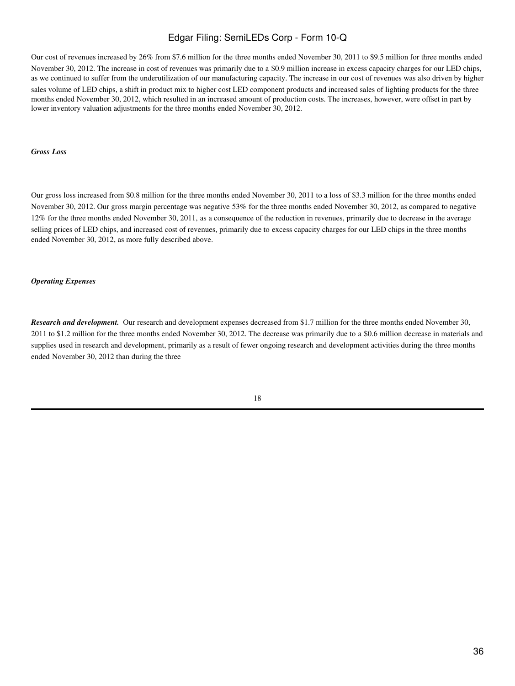Our cost of revenues increased by 26% from \$7.6 million for the three months ended November 30, 2011 to \$9.5 million for three months ended November 30, 2012. The increase in cost of revenues was primarily due to a \$0.9 million increase in excess capacity charges for our LED chips, as we continued to suffer from the underutilization of our manufacturing capacity. The increase in our cost of revenues was also driven by higher sales volume of LED chips, a shift in product mix to higher cost LED component products and increased sales of lighting products for the three months ended November 30, 2012, which resulted in an increased amount of production costs. The increases, however, were offset in part by lower inventory valuation adjustments for the three months ended November 30, 2012.

#### *Gross Loss*

Our gross loss increased from \$0.8 million for the three months ended November 30, 2011 to a loss of \$3.3 million for the three months ended November 30, 2012. Our gross margin percentage was negative 53% for the three months ended November 30, 2012, as compared to negative 12% for the three months ended November 30, 2011, as a consequence of the reduction in revenues, primarily due to decrease in the average selling prices of LED chips, and increased cost of revenues, primarily due to excess capacity charges for our LED chips in the three months ended November 30, 2012, as more fully described above.

#### *Operating Expenses*

*Research and development.* Our research and development expenses decreased from \$1.7 million for the three months ended November 30, 2011 to \$1.2 million for the three months ended November 30, 2012. The decrease was primarily due to a \$0.6 million decrease in materials and supplies used in research and development, primarily as a result of fewer ongoing research and development activities during the three months ended November 30, 2012 than during the three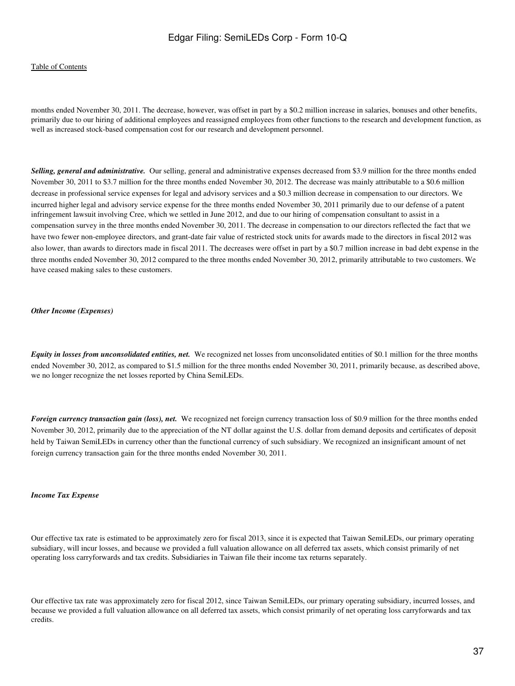#### [Table of Contents](#page-2-0)

months ended November 30, 2011. The decrease, however, was offset in part by a \$0.2 million increase in salaries, bonuses and other benefits, primarily due to our hiring of additional employees and reassigned employees from other functions to the research and development function, as well as increased stock-based compensation cost for our research and development personnel.

*Selling, general and administrative.* Our selling, general and administrative expenses decreased from \$3.9 million for the three months ended November 30, 2011 to \$3.7 million for the three months ended November 30, 2012. The decrease was mainly attributable to a \$0.6 million decrease in professional service expenses for legal and advisory services and a \$0.3 million decrease in compensation to our directors. We incurred higher legal and advisory service expense for the three months ended November 30, 2011 primarily due to our defense of a patent infringement lawsuit involving Cree, which we settled in June 2012, and due to our hiring of compensation consultant to assist in a compensation survey in the three months ended November 30, 2011. The decrease in compensation to our directors reflected the fact that we have two fewer non-employee directors, and grant-date fair value of restricted stock units for awards made to the directors in fiscal 2012 was also lower, than awards to directors made in fiscal 2011. The decreases were offset in part by a \$0.7 million increase in bad debt expense in the three months ended November 30, 2012 compared to the three months ended November 30, 2012, primarily attributable to two customers. We have ceased making sales to these customers.

#### *Other Income (Expenses)*

*Equity in losses from unconsolidated entities, net.* We recognized net losses from unconsolidated entities of \$0.1 million for the three months ended November 30, 2012, as compared to \$1.5 million for the three months ended November 30, 2011, primarily because, as described above, we no longer recognize the net losses reported by China SemiLEDs.

*Foreign currency transaction gain (loss), net.* We recognized net foreign currency transaction loss of \$0.9 million for the three months ended November 30, 2012, primarily due to the appreciation of the NT dollar against the U.S. dollar from demand deposits and certificates of deposit held by Taiwan SemiLEDs in currency other than the functional currency of such subsidiary. We recognized an insignificant amount of net foreign currency transaction gain for the three months ended November 30, 2011.

#### *Income Tax Expense*

Our effective tax rate is estimated to be approximately zero for fiscal 2013, since it is expected that Taiwan SemiLEDs, our primary operating subsidiary, will incur losses, and because we provided a full valuation allowance on all deferred tax assets, which consist primarily of net operating loss carryforwards and tax credits. Subsidiaries in Taiwan file their income tax returns separately.

Our effective tax rate was approximately zero for fiscal 2012, since Taiwan SemiLEDs, our primary operating subsidiary, incurred losses, and because we provided a full valuation allowance on all deferred tax assets, which consist primarily of net operating loss carryforwards and tax credits.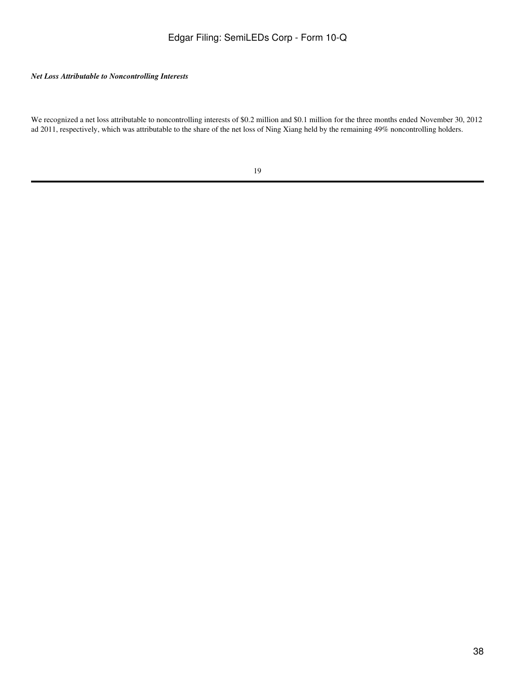## *Net Loss Attributable to Noncontrolling Interests*

We recognized a net loss attributable to noncontrolling interests of \$0.2 million and \$0.1 million for the three months ended November 30, 2012 ad 2011, respectively, which was attributable to the share of the net loss of Ning Xiang held by the remaining 49% noncontrolling holders.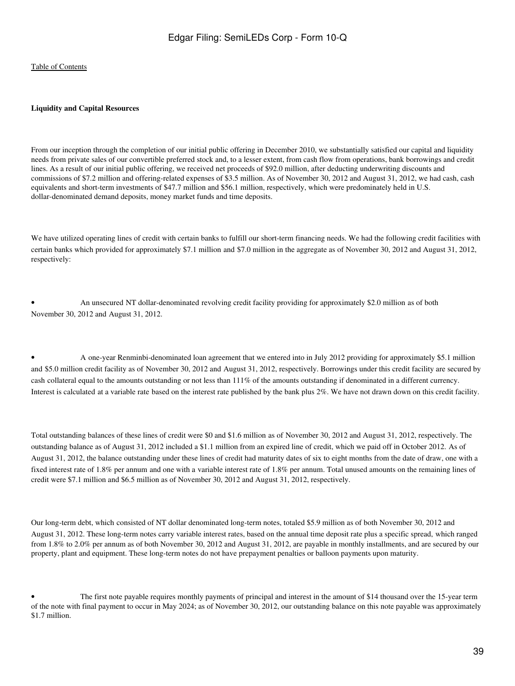#### **Liquidity and Capital Resources**

From our inception through the completion of our initial public offering in December 2010, we substantially satisfied our capital and liquidity needs from private sales of our convertible preferred stock and, to a lesser extent, from cash flow from operations, bank borrowings and credit lines. As a result of our initial public offering, we received net proceeds of \$92.0 million, after deducting underwriting discounts and commissions of \$7.2 million and offering-related expenses of \$3.5 million. As of November 30, 2012 and August 31, 2012, we had cash, cash equivalents and short-term investments of \$47.7 million and \$56.1 million, respectively, which were predominately held in U.S. dollar-denominated demand deposits, money market funds and time deposits.

We have utilized operating lines of credit with certain banks to fulfill our short-term financing needs. We had the following credit facilities with certain banks which provided for approximately \$7.1 million and \$7.0 million in the aggregate as of November 30, 2012 and August 31, 2012, respectively:

• An unsecured NT dollar-denominated revolving credit facility providing for approximately \$2.0 million as of both November 30, 2012 and August 31, 2012.

• A one-year Renminbi-denominated loan agreement that we entered into in July 2012 providing for approximately \$5.1 million and \$5.0 million credit facility as of November 30, 2012 and August 31, 2012, respectively. Borrowings under this credit facility are secured by cash collateral equal to the amounts outstanding or not less than 111% of the amounts outstanding if denominated in a different currency. Interest is calculated at a variable rate based on the interest rate published by the bank plus 2%. We have not drawn down on this credit facility.

Total outstanding balances of these lines of credit were \$0 and \$1.6 million as of November 30, 2012 and August 31, 2012, respectively. The outstanding balance as of August 31, 2012 included a \$1.1 million from an expired line of credit, which we paid off in October 2012. As of August 31, 2012, the balance outstanding under these lines of credit had maturity dates of six to eight months from the date of draw, one with a fixed interest rate of 1.8% per annum and one with a variable interest rate of 1.8% per annum. Total unused amounts on the remaining lines of credit were \$7.1 million and \$6.5 million as of November 30, 2012 and August 31, 2012, respectively.

Our long-term debt, which consisted of NT dollar denominated long-term notes, totaled \$5.9 million as of both November 30, 2012 and August 31, 2012. These long-term notes carry variable interest rates, based on the annual time deposit rate plus a specific spread, which ranged from 1.8% to 2.0% per annum as of both November 30, 2012 and August 31, 2012, are payable in monthly installments, and are secured by our property, plant and equipment. These long-term notes do not have prepayment penalties or balloon payments upon maturity.

<sup>•</sup> The first note payable requires monthly payments of principal and interest in the amount of \$14 thousand over the 15-year term of the note with final payment to occur in May 2024; as of November 30, 2012, our outstanding balance on this note payable was approximately \$1.7 million.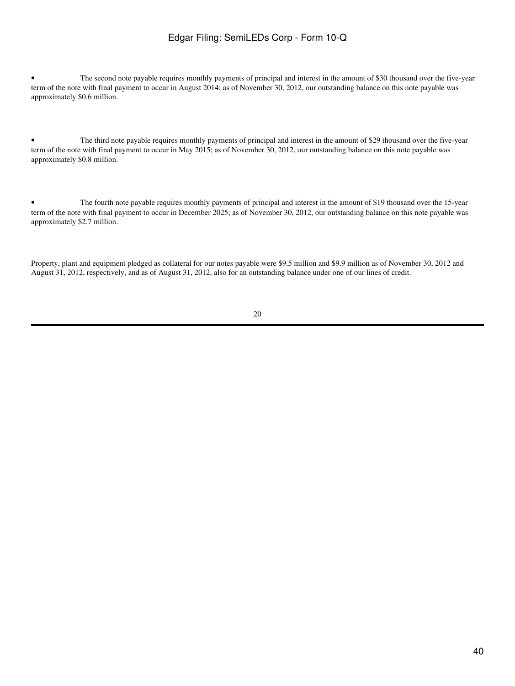The second note payable requires monthly payments of principal and interest in the amount of \$30 thousand over the five-year term of the note with final payment to occur in August 2014; as of November 30, 2012, our outstanding balance on this note payable was approximately \$0.6 million.

• The third note payable requires monthly payments of principal and interest in the amount of \$29 thousand over the five-year term of the note with final payment to occur in May 2015; as of November 30, 2012, our outstanding balance on this note payable was approximately \$0.8 million.

• The fourth note payable requires monthly payments of principal and interest in the amount of \$19 thousand over the 15-year term of the note with final payment to occur in December 2025; as of November 30, 2012, our outstanding balance on this note payable was approximately \$2.7 million.

Property, plant and equipment pledged as collateral for our notes payable were \$9.5 million and \$9.9 million as of November 30, 2012 and August 31, 2012, respectively, and as of August 31, 2012, also for an outstanding balance under one of our lines of credit.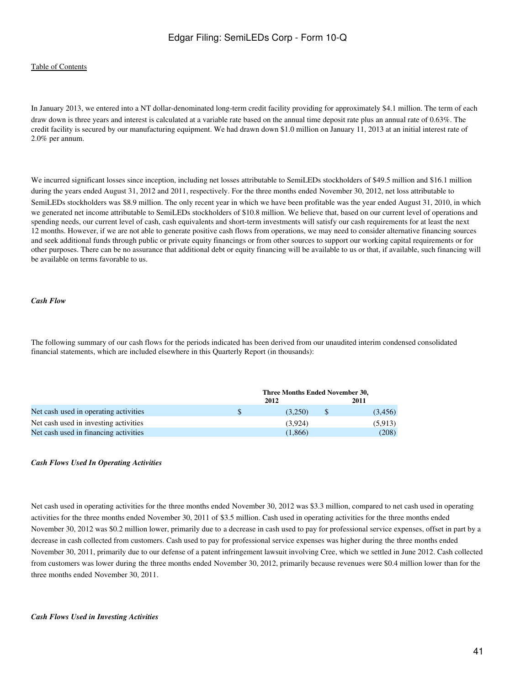#### [Table of Contents](#page-2-0)

In January 2013, we entered into a NT dollar-denominated long-term credit facility providing for approximately \$4.1 million. The term of each draw down is three years and interest is calculated at a variable rate based on the annual time deposit rate plus an annual rate of 0.63%. The credit facility is secured by our manufacturing equipment. We had drawn down \$1.0 million on January 11, 2013 at an initial interest rate of 2.0% per annum.

We incurred significant losses since inception, including net losses attributable to SemiLEDs stockholders of \$49.5 million and \$16.1 million during the years ended August 31, 2012 and 2011, respectively. For the three months ended November 30, 2012, net loss attributable to SemiLEDs stockholders was \$8.9 million. The only recent year in which we have been profitable was the year ended August 31, 2010, in which we generated net income attributable to SemiLEDs stockholders of \$10.8 million. We believe that, based on our current level of operations and spending needs, our current level of cash, cash equivalents and short-term investments will satisfy our cash requirements for at least the next 12 months. However, if we are not able to generate positive cash flows from operations, we may need to consider alternative financing sources and seek additional funds through public or private equity financings or from other sources to support our working capital requirements or for other purposes. There can be no assurance that additional debt or equity financing will be available to us or that, if available, such financing will be available on terms favorable to us.

### *Cash Flow*

The following summary of our cash flows for the periods indicated has been derived from our unaudited interim condensed consolidated financial statements, which are included elsewhere in this Quarterly Report (in thousands):

|                                       | Three Months Ended November 30, |    |         |  |
|---------------------------------------|---------------------------------|----|---------|--|
|                                       | 2012                            |    | 2011    |  |
| Net cash used in operating activities | (3.250)                         | -8 | (3,456) |  |
| Net cash used in investing activities | (3.924)                         |    | (5.913) |  |
| Net cash used in financing activities | (1.866)                         |    | (208)   |  |

#### *Cash Flows Used In Operating Activities*

Net cash used in operating activities for the three months ended November 30, 2012 was \$3.3 million, compared to net cash used in operating activities for the three months ended November 30, 2011 of \$3.5 million. Cash used in operating activities for the three months ended November 30, 2012 was \$0.2 million lower, primarily due to a decrease in cash used to pay for professional service expenses, offset in part by a decrease in cash collected from customers. Cash used to pay for professional service expenses was higher during the three months ended November 30, 2011, primarily due to our defense of a patent infringement lawsuit involving Cree, which we settled in June 2012. Cash collected from customers was lower during the three months ended November 30, 2012, primarily because revenues were \$0.4 million lower than for the three months ended November 30, 2011.

#### *Cash Flows Used in Investing Activities*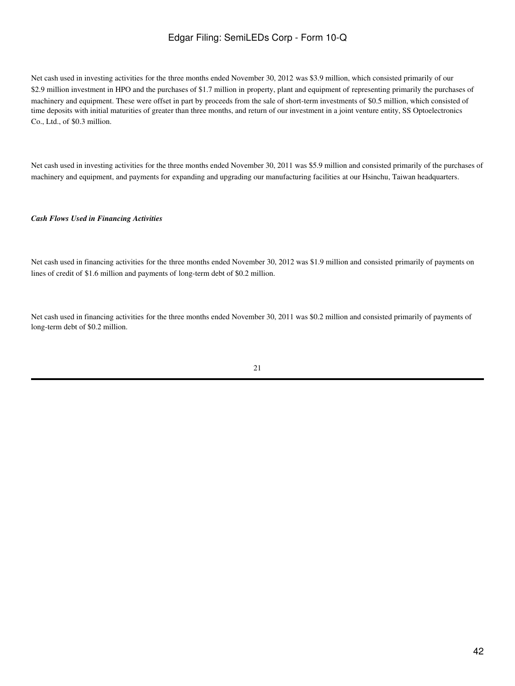Net cash used in investing activities for the three months ended November 30, 2012 was \$3.9 million, which consisted primarily of our \$2.9 million investment in HPO and the purchases of \$1.7 million in property, plant and equipment of representing primarily the purchases of machinery and equipment. These were offset in part by proceeds from the sale of short-term investments of \$0.5 million, which consisted of time deposits with initial maturities of greater than three months, and return of our investment in a joint venture entity, SS Optoelectronics Co., Ltd., of \$0.3 million.

Net cash used in investing activities for the three months ended November 30, 2011 was \$5.9 million and consisted primarily of the purchases of machinery and equipment, and payments for expanding and upgrading our manufacturing facilities at our Hsinchu, Taiwan headquarters.

#### *Cash Flows Used in Financing Activities*

Net cash used in financing activities for the three months ended November 30, 2012 was \$1.9 million and consisted primarily of payments on lines of credit of \$1.6 million and payments of long-term debt of \$0.2 million.

Net cash used in financing activities for the three months ended November 30, 2011 was \$0.2 million and consisted primarily of payments of long-term debt of \$0.2 million.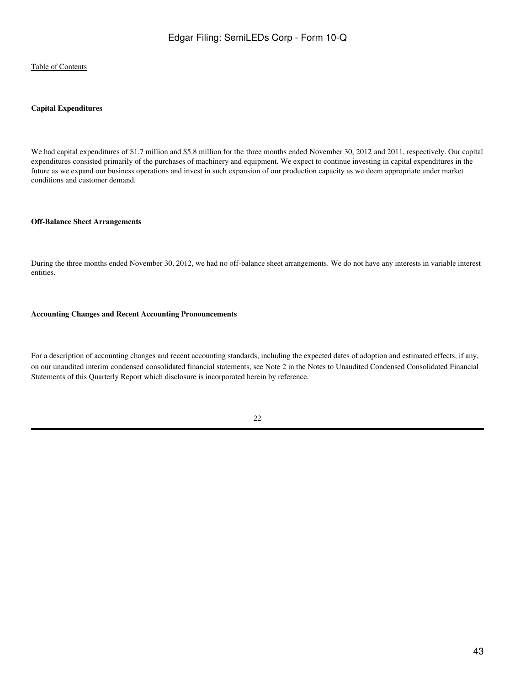#### **Capital Expenditures**

We had capital expenditures of \$1.7 million and \$5.8 million for the three months ended November 30, 2012 and 2011, respectively. Our capital expenditures consisted primarily of the purchases of machinery and equipment. We expect to continue investing in capital expenditures in the future as we expand our business operations and invest in such expansion of our production capacity as we deem appropriate under market conditions and customer demand.

#### **Off-Balance Sheet Arrangements**

During the three months ended November 30, 2012, we had no off-balance sheet arrangements. We do not have any interests in variable interest entities.

#### **Accounting Changes and Recent Accounting Pronouncements**

For a description of accounting changes and recent accounting standards, including the expected dates of adoption and estimated effects, if any, on our unaudited interim condensed consolidated financial statements, see Note 2 in the Notes to Unaudited Condensed Consolidated Financial Statements of this Quarterly Report which disclosure is incorporated herein by reference.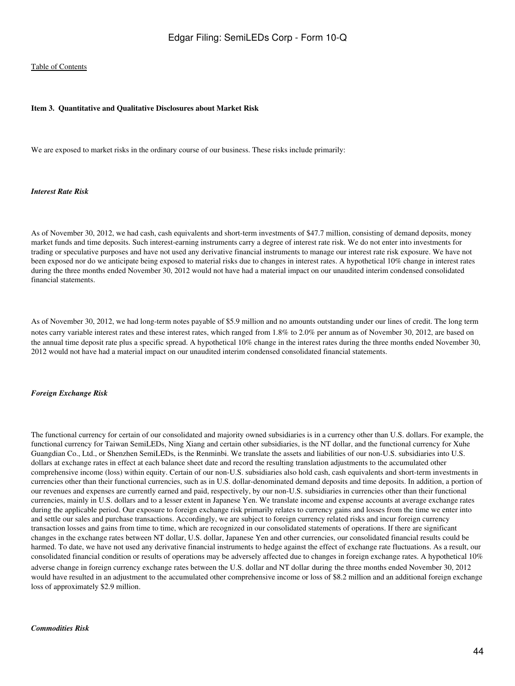#### <span id="page-43-0"></span>**Item 3. Quantitative and Qualitative Disclosures about Market Risk**

We are exposed to market risks in the ordinary course of our business. These risks include primarily:

#### *Interest Rate Risk*

As of November 30, 2012, we had cash, cash equivalents and short-term investments of \$47.7 million, consisting of demand deposits, money market funds and time deposits. Such interest-earning instruments carry a degree of interest rate risk. We do not enter into investments for trading or speculative purposes and have not used any derivative financial instruments to manage our interest rate risk exposure. We have not been exposed nor do we anticipate being exposed to material risks due to changes in interest rates. A hypothetical 10% change in interest rates during the three months ended November 30, 2012 would not have had a material impact on our unaudited interim condensed consolidated financial statements.

As of November 30, 2012, we had long-term notes payable of \$5.9 million and no amounts outstanding under our lines of credit. The long term notes carry variable interest rates and these interest rates, which ranged from 1.8% to 2.0% per annum as of November 30, 2012, are based on the annual time deposit rate plus a specific spread. A hypothetical 10% change in the interest rates during the three months ended November 30, 2012 would not have had a material impact on our unaudited interim condensed consolidated financial statements.

#### *Foreign Exchange Risk*

The functional currency for certain of our consolidated and majority owned subsidiaries is in a currency other than U.S. dollars. For example, the functional currency for Taiwan SemiLEDs, Ning Xiang and certain other subsidiaries, is the NT dollar, and the functional currency for Xuhe Guangdian Co., Ltd., or Shenzhen SemiLEDs, is the Renminbi. We translate the assets and liabilities of our non-U.S. subsidiaries into U.S. dollars at exchange rates in effect at each balance sheet date and record the resulting translation adjustments to the accumulated other comprehensive income (loss) within equity. Certain of our non-U.S. subsidiaries also hold cash, cash equivalents and short-term investments in currencies other than their functional currencies, such as in U.S. dollar-denominated demand deposits and time deposits. In addition, a portion of our revenues and expenses are currently earned and paid, respectively, by our non-U.S. subsidiaries in currencies other than their functional currencies, mainly in U.S. dollars and to a lesser extent in Japanese Yen. We translate income and expense accounts at average exchange rates during the applicable period. Our exposure to foreign exchange risk primarily relates to currency gains and losses from the time we enter into and settle our sales and purchase transactions. Accordingly, we are subject to foreign currency related risks and incur foreign currency transaction losses and gains from time to time, which are recognized in our consolidated statements of operations. If there are significant changes in the exchange rates between NT dollar, U.S. dollar, Japanese Yen and other currencies, our consolidated financial results could be harmed. To date, we have not used any derivative financial instruments to hedge against the effect of exchange rate fluctuations. As a result, our consolidated financial condition or results of operations may be adversely affected due to changes in foreign exchange rates. A hypothetical 10% adverse change in foreign currency exchange rates between the U.S. dollar and NT dollar during the three months ended November 30, 2012 would have resulted in an adjustment to the accumulated other comprehensive income or loss of \$8.2 million and an additional foreign exchange loss of approximately \$2.9 million.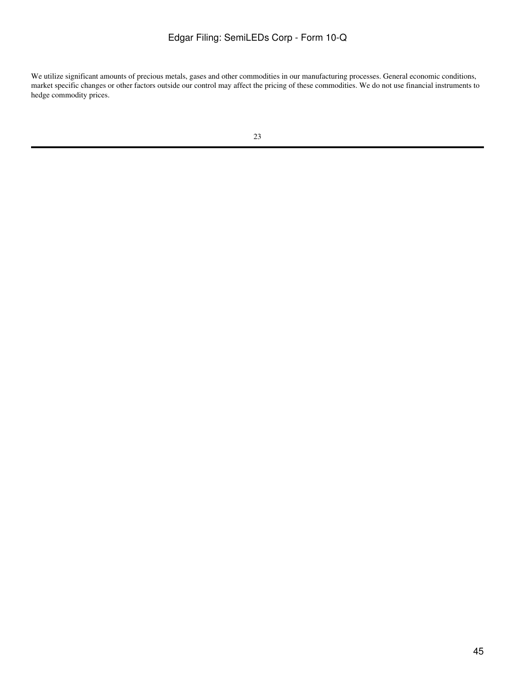We utilize significant amounts of precious metals, gases and other commodities in our manufacturing processes. General economic conditions, market specific changes or other factors outside our control may affect the pricing of these commodities. We do not use financial instruments to hedge commodity prices.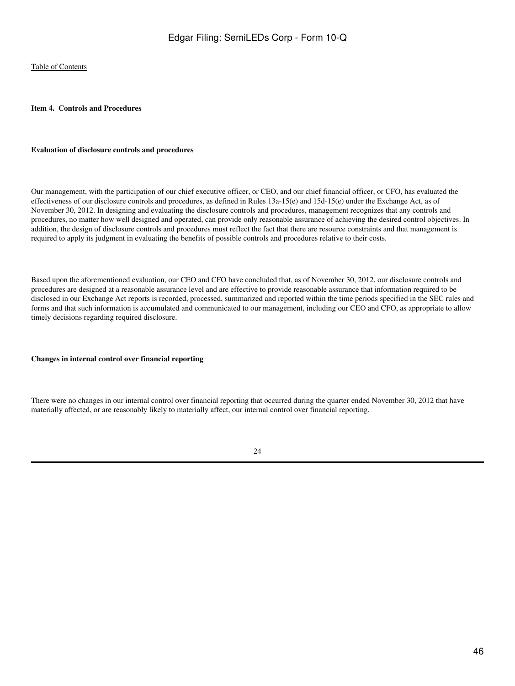#### <span id="page-45-0"></span>**Item 4. Controls and Procedures**

#### **Evaluation of disclosure controls and procedures**

Our management, with the participation of our chief executive officer, or CEO, and our chief financial officer, or CFO, has evaluated the effectiveness of our disclosure controls and procedures, as defined in Rules 13a-15(e) and 15d-15(e) under the Exchange Act, as of November 30, 2012. In designing and evaluating the disclosure controls and procedures, management recognizes that any controls and procedures, no matter how well designed and operated, can provide only reasonable assurance of achieving the desired control objectives. In addition, the design of disclosure controls and procedures must reflect the fact that there are resource constraints and that management is required to apply its judgment in evaluating the benefits of possible controls and procedures relative to their costs.

Based upon the aforementioned evaluation, our CEO and CFO have concluded that, as of November 30, 2012, our disclosure controls and procedures are designed at a reasonable assurance level and are effective to provide reasonable assurance that information required to be disclosed in our Exchange Act reports is recorded, processed, summarized and reported within the time periods specified in the SEC rules and forms and that such information is accumulated and communicated to our management, including our CEO and CFO, as appropriate to allow timely decisions regarding required disclosure.

#### **Changes in internal control over financial reporting**

There were no changes in our internal control over financial reporting that occurred during the quarter ended November 30, 2012 that have materially affected, or are reasonably likely to materially affect, our internal control over financial reporting.

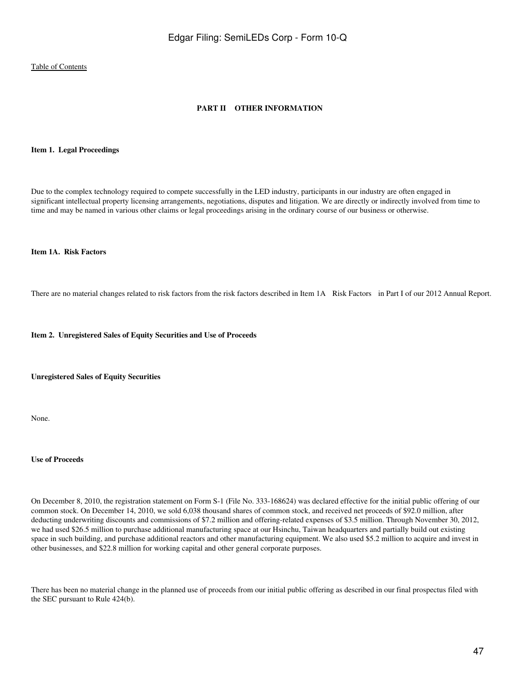## **PART II OTHER INFORMATION**

#### <span id="page-46-1"></span><span id="page-46-0"></span>**Item 1. Legal Proceedings**

Due to the complex technology required to compete successfully in the LED industry, participants in our industry are often engaged in significant intellectual property licensing arrangements, negotiations, disputes and litigation. We are directly or indirectly involved from time to time and may be named in various other claims or legal proceedings arising in the ordinary course of our business or otherwise.

## <span id="page-46-2"></span>**Item 1A. Risk Factors**

There are no material changes related to risk factors from the risk factors described in Item 1A Risk Factors in Part I of our 2012 Annual Report.

<span id="page-46-3"></span>**Item 2. Unregistered Sales of Equity Securities and Use of Proceeds**

**Unregistered Sales of Equity Securities**

None.

#### **Use of Proceeds**

On December 8, 2010, the registration statement on Form S-1 (File No. 333-168624) was declared effective for the initial public offering of our common stock. On December 14, 2010, we sold 6,038 thousand shares of common stock, and received net proceeds of \$92.0 million, after deducting underwriting discounts and commissions of \$7.2 million and offering-related expenses of \$3.5 million. Through November 30, 2012, we had used \$26.5 million to purchase additional manufacturing space at our Hsinchu, Taiwan headquarters and partially build out existing space in such building, and purchase additional reactors and other manufacturing equipment. We also used \$5.2 million to acquire and invest in other businesses, and \$22.8 million for working capital and other general corporate purposes.

There has been no material change in the planned use of proceeds from our initial public offering as described in our final prospectus filed with the SEC pursuant to Rule 424(b).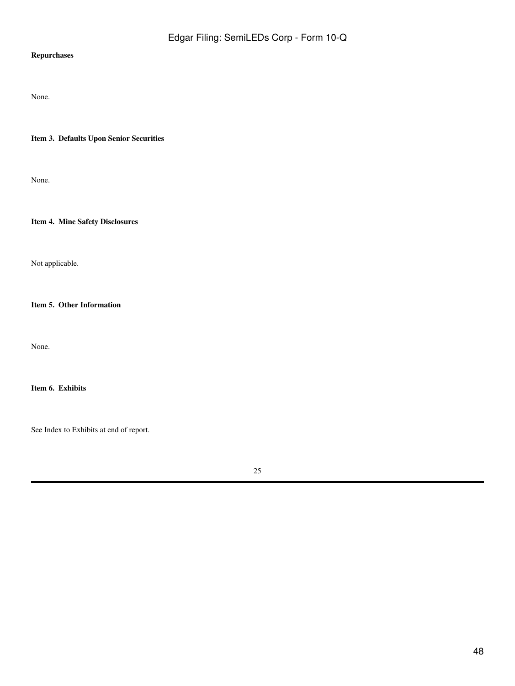# **Repurchases**

None.

<span id="page-47-0"></span>**Item 3. Defaults Upon Senior Securities**

None.

<span id="page-47-1"></span>**Item 4. Mine Safety Disclosures**

Not applicable.

<span id="page-47-2"></span>**Item 5. Other Information**

None.

<span id="page-47-3"></span>**Item 6. Exhibits**

See Index to Exhibits at end of report.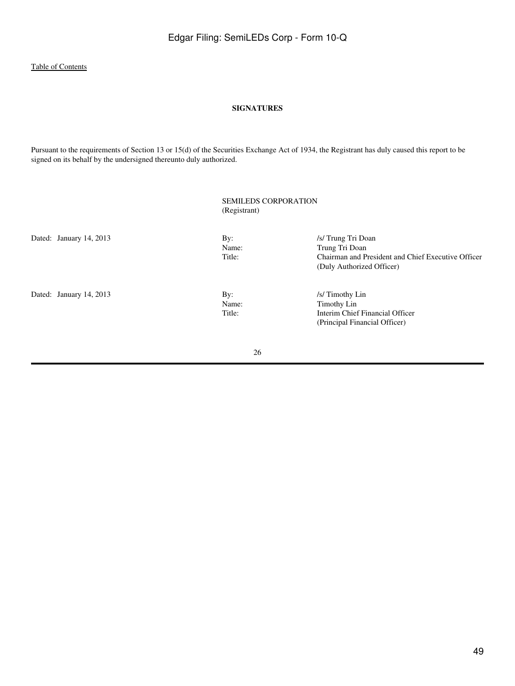#### **SIGNATURES**

<span id="page-48-0"></span>Pursuant to the requirements of Section 13 or 15(d) of the Securities Exchange Act of 1934, the Registrant has duly caused this report to be signed on its behalf by the undersigned thereunto duly authorized.

|                         | (Registrant)           | <b>SEMILEDS CORPORATION</b>                                                                                             |  |  |
|-------------------------|------------------------|-------------------------------------------------------------------------------------------------------------------------|--|--|
| Dated: January 14, 2013 | By:<br>Name:<br>Title: | /s/ Trung Tri Doan<br>Trung Tri Doan<br>Chairman and President and Chief Executive Officer<br>(Duly Authorized Officer) |  |  |
| Dated: January 14, 2013 | By:<br>Name:<br>Title: | /s/ Timothy Lin<br>Timothy Lin<br>Interim Chief Financial Officer<br>(Principal Financial Officer)                      |  |  |